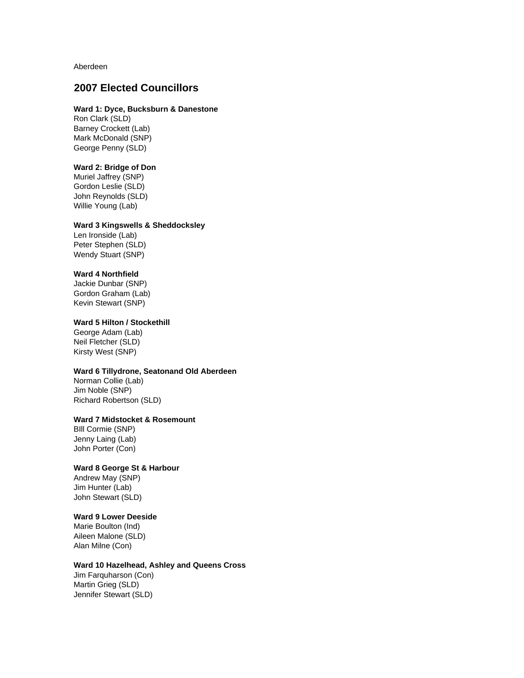Aberdeen

# **2007 Elected Councillors**

#### **Ward 1: Dyce, Bucksburn & Danestone**

Ron Clark (SLD) Barney Crockett (Lab) Mark McDonald (SNP) George Penny (SLD)

## **Ward 2: Bridge of Don**

Muriel Jaffrey (SNP) Gordon Leslie (SLD) John Reynolds (SLD) Willie Young (Lab)

#### **Ward 3 Kingswells & Sheddocksley**

Len Ironside (Lab) Peter Stephen (SLD) Wendy Stuart (SNP)

#### **Ward 4 Northfield**

Jackie Dunbar (SNP) Gordon Graham (Lab) Kevin Stewart (SNP)

#### **Ward 5 Hilton / Stockethill**

George Adam (Lab) Neil Fletcher (SLD) Kirsty West (SNP)

#### **Ward 6 Tillydrone, Seatonand Old Aberdeen**

Norman Collie (Lab) Jim Noble (SNP) Richard Robertson (SLD)

### **Ward 7 Midstocket & Rosemount**

BIll Cormie (SNP) Jenny Laing (Lab) John Porter (Con)

## **Ward 8 George St & Harbour**

Andrew May (SNP) Jim Hunter (Lab) John Stewart (SLD)

#### **Ward 9 Lower Deeside**

Marie Boulton (Ind) Aileen Malone (SLD) Alan Milne (Con)

### **Ward 10 Hazelhead, Ashley and Queens Cross**

Jim Farquharson (Con) Martin Grieg (SLD) Jennifer Stewart (SLD)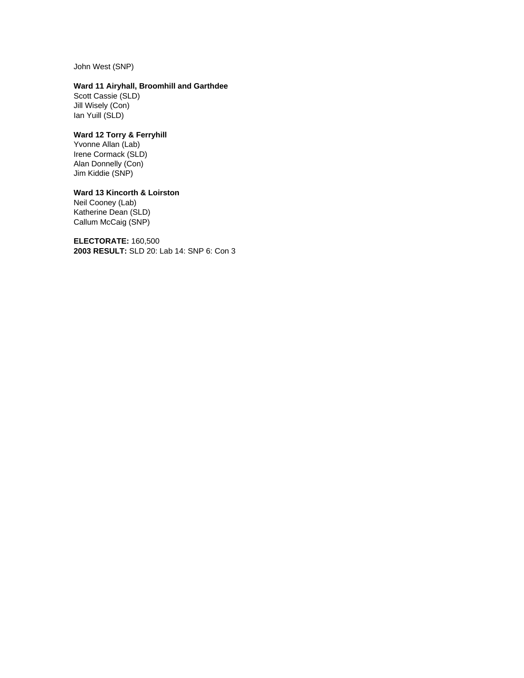John West (SNP)

# **Ward 11 Airyhall, Broomhill and Garthdee**

Scott Cassie (SLD) Jill Wisely (Con) Ian Yuill (SLD)

# **Ward 12 Torry & Ferryhill**

Yvonne Allan (Lab) Irene Cormack (SLD) Alan Donnelly (Con) Jim Kiddie (SNP)

# **Ward 13 Kincorth & Loirston**

Neil Cooney (Lab) Katherine Dean (SLD) Callum McCaig (SNP)

**ELECTORATE:** 160,500 **2003 RESULT:** SLD 20: Lab 14: SNP 6: Con 3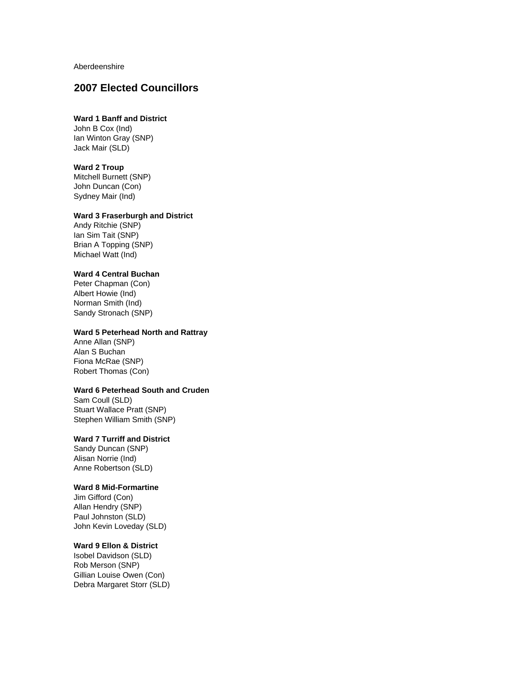Aberdeenshire

# **2007 Elected Councillors**

# **Ward 1 Banff and District**

John B Cox (Ind) Ian Winton Gray (SNP) Jack Mair (SLD)

#### **Ward 2 Troup**

Mitchell Burnett (SNP) John Duncan (Con) Sydney Mair (Ind)

#### **Ward 3 Fraserburgh and District**

Andy Ritchie (SNP) Ian Sim Tait (SNP) Brian A Topping (SNP) Michael Watt (Ind)

### **Ward 4 Central Buchan**

Peter Chapman (Con) Albert Howie (Ind) Norman Smith (Ind) Sandy Stronach (SNP)

#### **Ward 5 Peterhead North and Rattray**

Anne Allan (SNP) Alan S Buchan Fiona McRae (SNP) Robert Thomas (Con)

# **Ward 6 Peterhead South and Cruden**

Sam Coull (SLD) Stuart Wallace Pratt (SNP) Stephen William Smith (SNP)

# **Ward 7 Turriff and District**

Sandy Duncan (SNP) Alisan Norrie (Ind) Anne Robertson (SLD)

# **Ward 8 Mid-Formartine**

Jim Gifford (Con) Allan Hendry (SNP) Paul Johnston (SLD) John Kevin Loveday (SLD)

### **Ward 9 Ellon & District**

Isobel Davidson (SLD) Rob Merson (SNP) Gillian Louise Owen (Con) Debra Margaret Storr (SLD)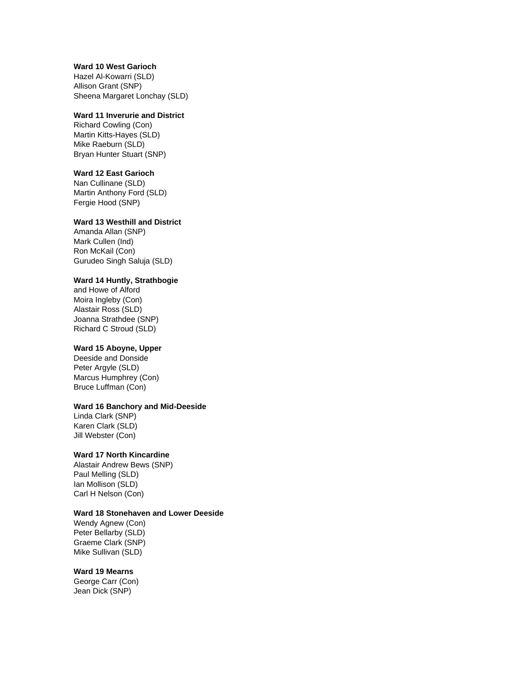### **Ward 10 West Garioch**

Hazel Al-Kowarri (SLD) Allison Grant (SNP) Sheena Margaret Lonchay (SLD)

#### **Ward 11 Inverurie and District**

Richard Cowling (Con) Martin Kitts-Hayes (SLD) Mike Raeburn (SLD) Bryan Hunter Stuart (SNP)

#### **Ward 12 East Garioch**

Nan Cullinane (SLD) Martin Anthony Ford (SLD) Fergie Hood (SNP)

#### **Ward 13 Westhill and District**

Amanda Allan (SNP) Mark Cullen (Ind) Ron McKail (Con) Gurudeo Singh Saluja (SLD)

### **Ward 14 Huntly, Strathbogie**

and Howe of Alford Moira Ingleby (Con) Alastair Ross (SLD) Joanna Strathdee (SNP) Richard C Stroud (SLD)

## **Ward 15 Aboyne, Upper**

Deeside and Donside Peter Argyle (SLD) Marcus Humphrey (Con) Bruce Luffman (Con)

#### **Ward 16 Banchory and Mid-Deeside**

Linda Clark (SNP) Karen Clark (SLD) Jill Webster (Con)

## **Ward 17 North Kincardine**

Alastair Andrew Bews (SNP) Paul Melling (SLD) Ian Mollison (SLD) Carl H Nelson (Con)

#### **Ward 18 Stonehaven and Lower Deeside**

Wendy Agnew (Con) Peter Bellarby (SLD) Graeme Clark (SNP) Mike Sullivan (SLD)

#### **Ward 19 Mearns**

George Carr (Con) Jean Dick (SNP)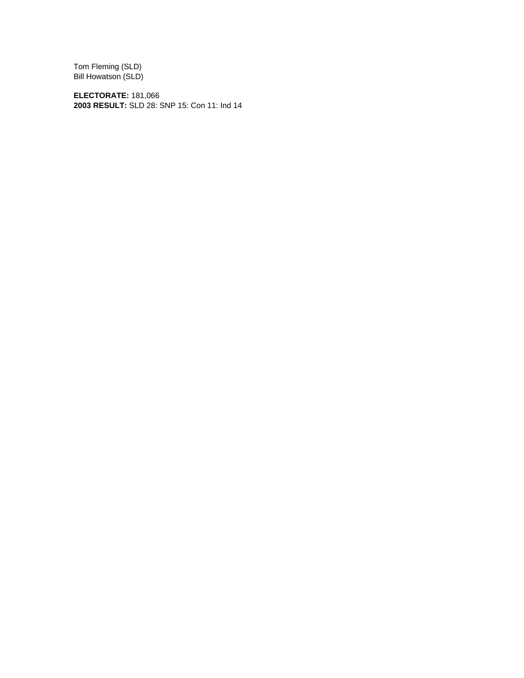Tom Fleming (SLD) Bill Howatson (SLD)

**ELECTORATE:** 181,066 **2003 RESULT:** SLD 28: SNP 15: Con 11: Ind 14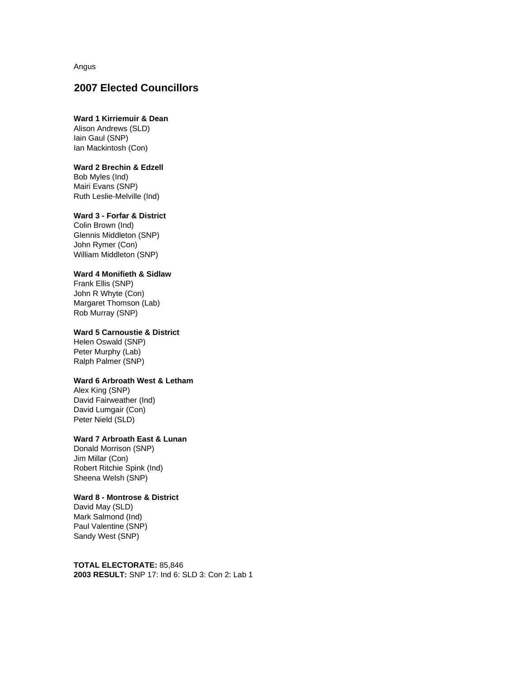Angus

# **2007 Elected Councillors**

## **Ward 1 Kirriemuir & Dean**

Alison Andrews (SLD) Iain Gaul (SNP) Ian Mackintosh (Con)

## **Ward 2 Brechin & Edzell**

Bob Myles (Ind) Mairi Evans (SNP) Ruth Leslie-Melville (Ind)

#### **Ward 3 - Forfar & District**

Colin Brown (Ind) Glennis Middleton (SNP) John Rymer (Con) William Middleton (SNP)

### **Ward 4 Monifieth & Sidlaw**

Frank Ellis (SNP) John R Whyte (Con) Margaret Thomson (Lab) Rob Murray (SNP)

### **Ward 5 Carnoustie & District**

Helen Oswald (SNP) Peter Murphy (Lab) Ralph Palmer (SNP)

### **Ward 6 Arbroath West & Letham**

Alex King (SNP) David Fairweather (Ind) David Lumgair (Con) Peter Nield (SLD)

### **Ward 7 Arbroath East & Lunan**

Donald Morrison (SNP) Jim Millar (Con) Robert Ritchie Spink (Ind) Sheena Welsh (SNP)

#### **Ward 8 - Montrose & District**

David May (SLD) Mark Salmond (Ind) Paul Valentine (SNP) Sandy West (SNP)

#### **TOTAL ELECTORATE:** 85,846

**2003 RESULT:** SNP 17: Ind 6: SLD 3: Con 2: Lab 1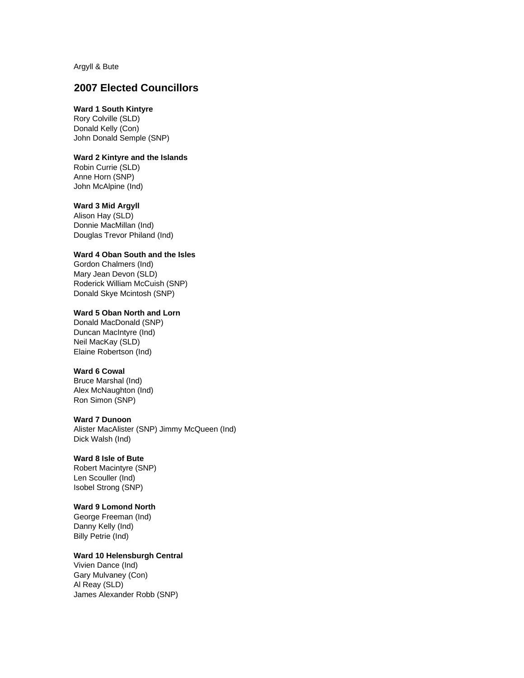Argyll & Bute

# **2007 Elected Councillors**

# **Ward 1 South Kintyre**

Rory Colville (SLD) Donald Kelly (Con) John Donald Semple (SNP)

### **Ward 2 Kintyre and the Islands**

Robin Currie (SLD) Anne Horn (SNP) John McAlpine (Ind)

#### **Ward 3 Mid Argyll**

Alison Hay (SLD) Donnie MacMillan (Ind) Douglas Trevor Philand (Ind)

#### **Ward 4 Oban South and the Isles**

Gordon Chalmers (Ind) Mary Jean Devon (SLD) Roderick William McCuish (SNP) Donald Skye Mcintosh (SNP)

### **Ward 5 Oban North and Lorn**

Donald MacDonald (SNP) Duncan MacIntyre (Ind) Neil MacKay (SLD) Elaine Robertson (Ind)

#### **Ward 6 Cowal**

Bruce Marshal (Ind) Alex McNaughton (Ind) Ron Simon (SNP)

### **Ward 7 Dunoon**

Alister MacAlister (SNP) Jimmy McQueen (Ind) Dick Walsh (Ind)

# **Ward 8 Isle of Bute**

Robert Macintyre (SNP) Len Scouller (Ind) Isobel Strong (SNP)

# **Ward 9 Lomond North**

George Freeman (Ind) Danny Kelly (Ind) Billy Petrie (Ind)

# **Ward 10 Helensburgh Central**

Vivien Dance (Ind) Gary Mulvaney (Con) Al Reay (SLD) James Alexander Robb (SNP)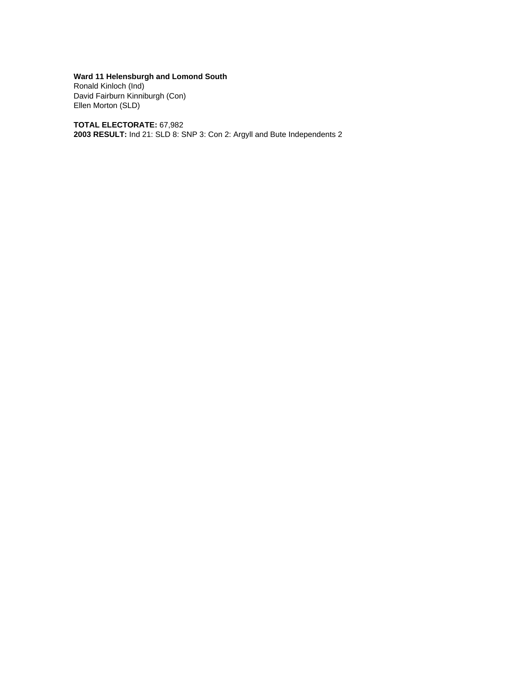**Ward 11 Helensburgh and Lomond South**

Ronald Kinloch (Ind) David Fairburn Kinniburgh (Con) Ellen Morton (SLD)

**TOTAL ELECTORATE:** 67,982

**2003 RESULT:** Ind 21: SLD 8: SNP 3: Con 2: Argyll and Bute Independents 2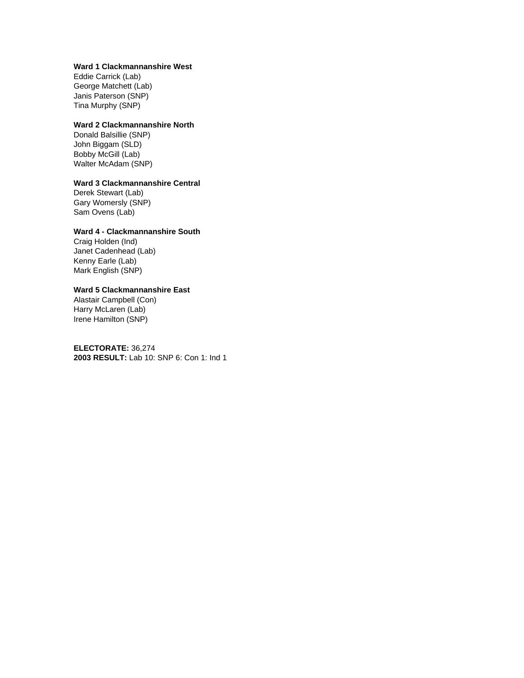### **Ward 1 Clackmannanshire West**

Eddie Carrick (Lab) George Matchett (Lab) Janis Paterson (SNP) Tina Murphy (SNP)

### **Ward 2 Clackmannanshire North**

Donald Balsillie (SNP) John Biggam (SLD) Bobby McGill (Lab) Walter McAdam (SNP)

## **Ward 3 Clackmannanshire Central**

Derek Stewart (Lab) Gary Womersly (SNP) Sam Ovens (Lab)

# **Ward 4 - Clackmannanshire South**

Craig Holden (Ind) Janet Cadenhead (Lab) Kenny Earle (Lab) Mark English (SNP)

### **Ward 5 Clackmannanshire East**

Alastair Campbell (Con) Harry McLaren (Lab) Irene Hamilton (SNP)

**ELECTORATE:** 36,274 **2003 RESULT:** Lab 10: SNP 6: Con 1: Ind 1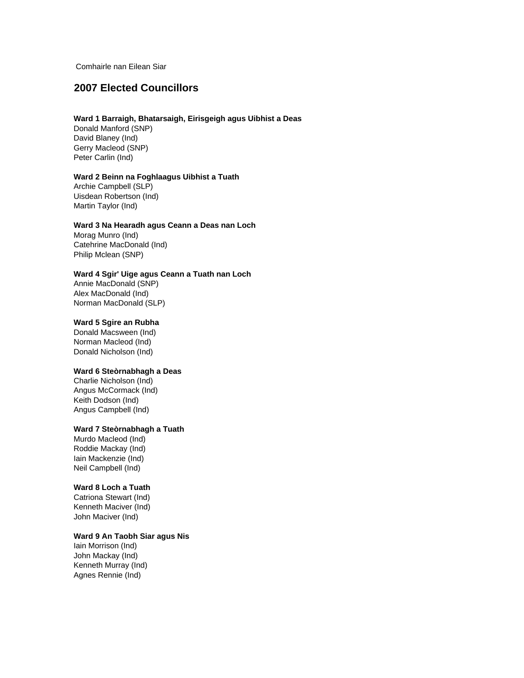Comhairle nan Eilean Siar

# **2007 Elected Councillors**

#### **Ward 1 Barraigh, Bhatarsaigh, Eirisgeigh agus Uibhist a Deas**

Donald Manford (SNP) David Blaney (Ind) Gerry Macleod (SNP) Peter Carlin (Ind)

### **Ward 2 Beinn na Foghlaagus Uibhist a Tuath**

Archie Campbell (SLP) Uisdean Robertson (Ind) Martin Taylor (Ind)

#### **Ward 3 Na Hearadh agus Ceann a Deas nan Loch**

Morag Munro (Ind) Catehrine MacDonald (Ind) Philip Mclean (SNP)

#### **Ward 4 Sgir' Uige agus Ceann a Tuath nan Loch**

Annie MacDonald (SNP) Alex MacDonald (Ind) Norman MacDonald (SLP)

#### **Ward 5 Sgire an Rubha**

Donald Macsween (Ind) Norman Macleod (Ind) Donald Nicholson (Ind)

#### **Ward 6 Steòrnabhagh a Deas**

Charlie Nicholson (Ind) Angus McCormack (Ind) Keith Dodson (Ind) Angus Campbell (Ind)

#### **Ward 7 Steòrnabhagh a Tuath**

Murdo Macleod (Ind) Roddie Mackay (Ind) Iain Mackenzie (Ind) Neil Campbell (Ind)

#### **Ward 8 Loch a Tuath**

Catriona Stewart (Ind) Kenneth Maciver (Ind) John Maciver (Ind)

### **Ward 9 An Taobh Siar agus Nis**

Iain Morrison (Ind) John Mackay (Ind) Kenneth Murray (Ind) Agnes Rennie (Ind)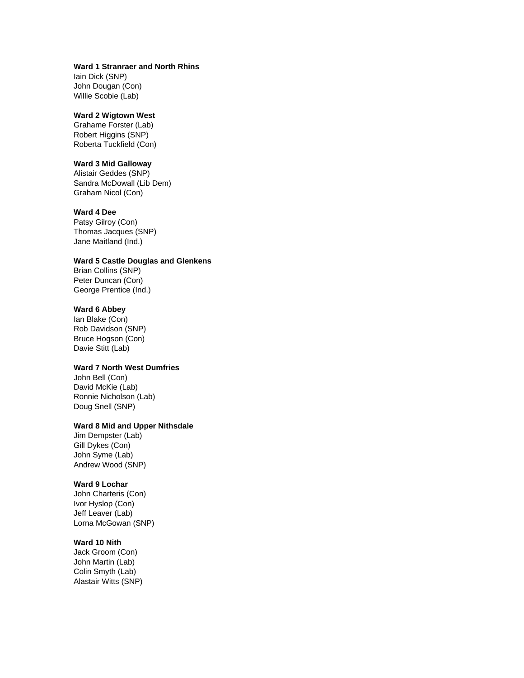## **Ward 1 Stranraer and North Rhins**

Iain Dick (SNP) John Dougan (Con) Willie Scobie (Lab)

#### **Ward 2 Wigtown West**

Grahame Forster (Lab) Robert Higgins (SNP) Roberta Tuckfield (Con)

### **Ward 3 Mid Galloway**

Alistair Geddes (SNP) Sandra McDowall (Lib Dem) Graham Nicol (Con)

### **Ward 4 Dee**

Patsy Gilroy (Con) Thomas Jacques (SNP) Jane Maitland (Ind.)

### **Ward 5 Castle Douglas and Glenkens**

Brian Collins (SNP) Peter Duncan (Con) George Prentice (Ind.)

### **Ward 6 Abbey**

Ian Blake (Con) Rob Davidson (SNP) Bruce Hogson (Con) Davie Stitt (Lab)

# **Ward 7 North West Dumfries**

John Bell (Con) David McKie (Lab) Ronnie Nicholson (Lab) Doug Snell (SNP)

### **Ward 8 Mid and Upper Nithsdale**

Jim Dempster (Lab) Gill Dykes (Con) John Syme (Lab) Andrew Wood (SNP)

### **Ward 9 Lochar**

John Charteris (Con) Ivor Hyslop (Con) Jeff Leaver (Lab) Lorna McGowan (SNP)

#### **Ward 10 Nith**

Jack Groom (Con) John Martin (Lab) Colin Smyth (Lab) Alastair Witts (SNP)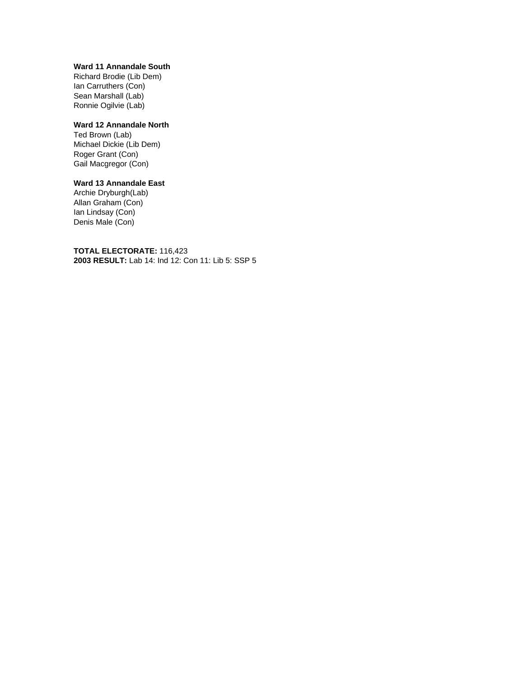#### **Ward 11 Annandale South**

Richard Brodie (Lib Dem) Ian Carruthers (Con) Sean Marshall (Lab) Ronnie Ogilvie (Lab)

## **Ward 12 Annandale North**

Ted Brown (Lab) Michael Dickie (Lib Dem) Roger Grant (Con) Gail Macgregor (Con)

# **Ward 13 Annandale East**

Archie Dryburgh(Lab) Allan Graham (Con) Ian Lindsay (Con) Denis Male (Con)

**TOTAL ELECTORATE:** 116,423 **2003 RESULT:** Lab 14: Ind 12: Con 11: Lib 5: SSP 5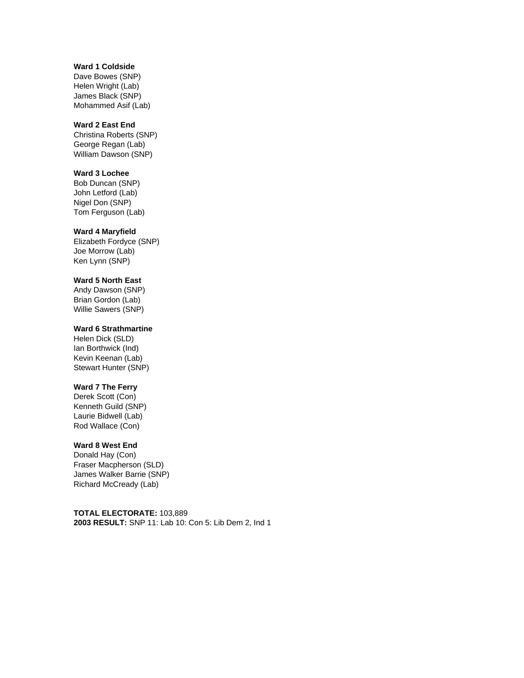## **Ward 1 Coldside**

Dave Bowes (SNP) Helen Wright (Lab) James Black (SNP) Mohammed Asif (Lab)

### **Ward 2 East End**

Christina Roberts (SNP) George Regan (Lab) William Dawson (SNP)

#### **Ward 3 Lochee**

Bob Duncan (SNP) John Letford (Lab) Nigel Don (SNP) Tom Ferguson (Lab)

#### **Ward 4 Maryfield**

Elizabeth Fordyce (SNP) Joe Morrow (Lab) Ken Lynn (SNP)

### **Ward 5 North East**

Andy Dawson (SNP) Brian Gordon (Lab) Willie Sawers (SNP)

### **Ward 6 Strathmartine**

Helen Dick (SLD) Ian Borthwick (Ind) Kevin Keenan (Lab) Stewart Hunter (SNP)

#### **Ward 7 The Ferry**

Derek Scott (Con) Kenneth Guild (SNP) Laurie Bidwell (Lab) Rod Wallace (Con)

#### **Ward 8 West End**

Donald Hay (Con) Fraser Macpherson (SLD) James Walker Barrie (SNP) Richard McCready (Lab)

**TOTAL ELECTORATE:** 103,889 **2003 RESULT:** SNP 11: Lab 10: Con 5: Lib Dem 2, Ind 1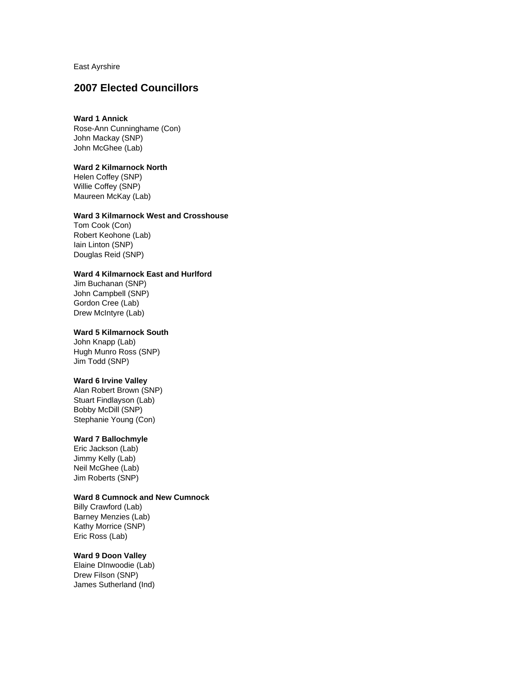East Ayrshire

# **2007 Elected Councillors**

### **Ward 1 Annick**

Rose-Ann Cunninghame (Con) John Mackay (SNP) John McGhee (Lab)

#### **Ward 2 Kilmarnock North**

Helen Coffey (SNP) Willie Coffey (SNP) Maureen McKay (Lab)

#### **Ward 3 Kilmarnock West and Crosshouse**

Tom Cook (Con) Robert Keohone (Lab) Iain Linton (SNP) Douglas Reid (SNP)

## **Ward 4 Kilmarnock East and Hurlford**

Jim Buchanan (SNP) John Campbell (SNP) Gordon Cree (Lab) Drew McIntyre (Lab)

#### **Ward 5 Kilmarnock South**

John Knapp (Lab) Hugh Munro Ross (SNP) Jim Todd (SNP)

#### **Ward 6 Irvine Valley**

Alan Robert Brown (SNP) Stuart Findlayson (Lab) Bobby McDill (SNP) Stephanie Young (Con)

### **Ward 7 Ballochmyle**

Eric Jackson (Lab) Jimmy Kelly (Lab) Neil McGhee (Lab) Jim Roberts (SNP)

#### **Ward 8 Cumnock and New Cumnock**

Billy Crawford (Lab) Barney Menzies (Lab) Kathy Morrice (SNP) Eric Ross (Lab)

#### **Ward 9 Doon Valley**

Elaine DInwoodie (Lab) Drew Filson (SNP) James Sutherland (Ind)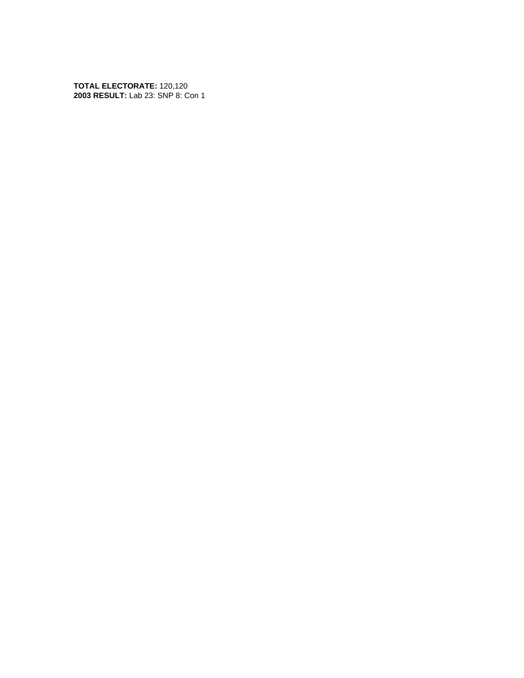**TOTAL ELECTORATE:** 120,120 **2003 RESULT:** Lab 23: SNP 8: Con 1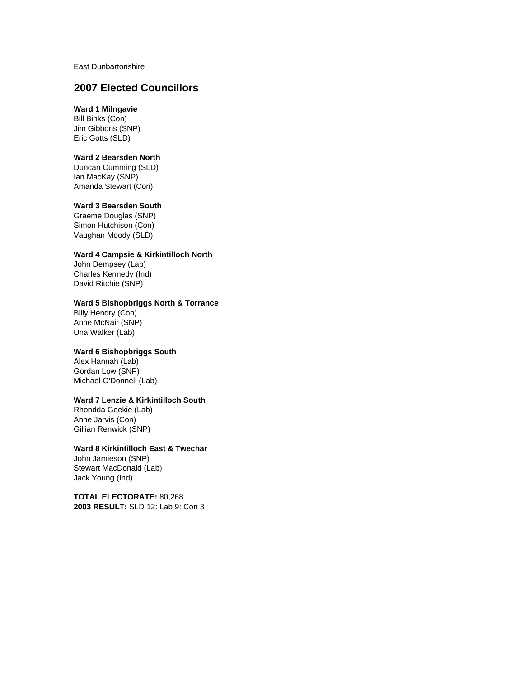East Dunbartonshire

# **2007 Elected Councillors**

# **Ward 1 Milngavie**

Bill Binks (Con) Jim Gibbons (SNP) Eric Gotts (SLD)

### **Ward 2 Bearsden North**

Duncan Cumming (SLD) Ian MacKay (SNP) Amanda Stewart (Con)

#### **Ward 3 Bearsden South**

Graeme Douglas (SNP) Simon Hutchison (Con) Vaughan Moody (SLD)

## **Ward 4 Campsie & Kirkintilloch North**

John Dempsey (Lab) Charles Kennedy (Ind) David Ritchie (SNP)

#### **Ward 5 Bishopbriggs North & Torrance**

Billy Hendry (Con) Anne McNair (SNP) Una Walker (Lab)

### **Ward 6 Bishopbriggs South**

Alex Hannah (Lab) Gordan Low (SNP) Michael O'Donnell (Lab)

### **Ward 7 Lenzie & Kirkintilloch South**

Rhondda Geekie (Lab) Anne Jarvis (Con) Gillian Renwick (SNP)

#### **Ward 8 Kirkintilloch East & Twechar**

John Jamieson (SNP) Stewart MacDonald (Lab) Jack Young (Ind)

**TOTAL ELECTORATE:** 80,268 **2003 RESULT:** SLD 12: Lab 9: Con 3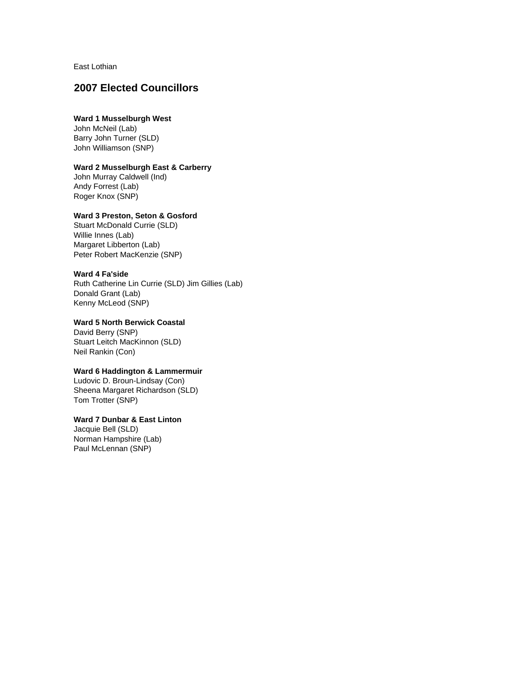East Lothian

# **2007 Elected Councillors**

# **Ward 1 Musselburgh West**

John McNeil (Lab) Barry John Turner (SLD) John Williamson (SNP)

#### **Ward 2 Musselburgh East & Carberry**

John Murray Caldwell (Ind) Andy Forrest (Lab) Roger Knox (SNP)

## **Ward 3 Preston, Seton & Gosford**

Stuart McDonald Currie (SLD) Willie Innes (Lab) Margaret Libberton (Lab) Peter Robert MacKenzie (SNP)

#### **Ward 4 Fa'side**

Ruth Catherine Lin Currie (SLD) Jim Gillies (Lab) Donald Grant (Lab) Kenny McLeod (SNP)

### **Ward 5 North Berwick Coastal**

David Berry (SNP) Stuart Leitch MacKinnon (SLD) Neil Rankin (Con)

### **Ward 6 Haddington & Lammermuir**

Ludovic D. Broun-Lindsay (Con) Sheena Margaret Richardson (SLD) Tom Trotter (SNP)

# **Ward 7 Dunbar & East Linton**

Jacquie Bell (SLD) Norman Hampshire (Lab) Paul McLennan (SNP)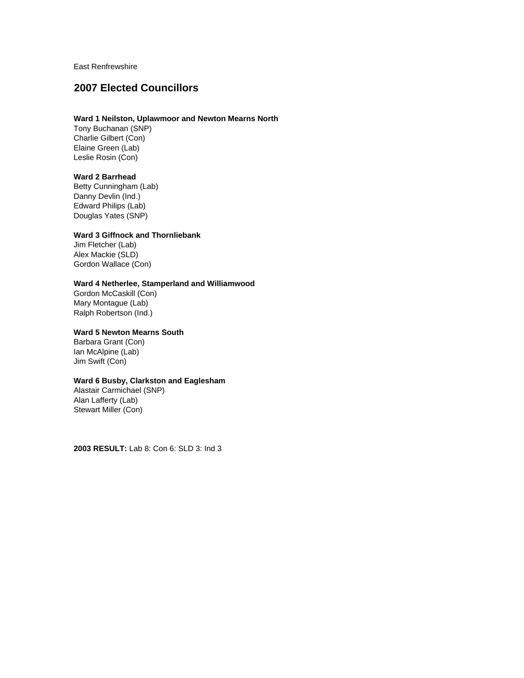East Renfrewshire

# **2007 Elected Councillors**

# **Ward 1 Neilston, Uplawmoor and Newton Mearns North**

Tony Buchanan (SNP) Charlie Gilbert (Con) Elaine Green (Lab) Leslie Rosin (Con)

#### **Ward 2 Barrhead**

Betty Cunningham (Lab) Danny Devlin (Ind.) Edward Philips (Lab) Douglas Yates (SNP)

# **Ward 3 Giffnock and Thornliebank**

Jim Fletcher (Lab) Alex Mackie (SLD) Gordon Wallace (Con)

## **Ward 4 Netherlee, Stamperland and Williamwood**

Gordon McCaskill (Con) Mary Montague (Lab) Ralph Robertson (Ind.)

### **Ward 5 Newton Mearns South**

Barbara Grant (Con) Ian McAlpine (Lab) Jim Swift (Con)

### **Ward 6 Busby, Clarkston and Eaglesham**

Alastair Carmichael (SNP) Alan Lafferty (Lab) Stewart Miller (Con)

**2003 RESULT:** Lab 8: Con 6: SLD 3: Ind 3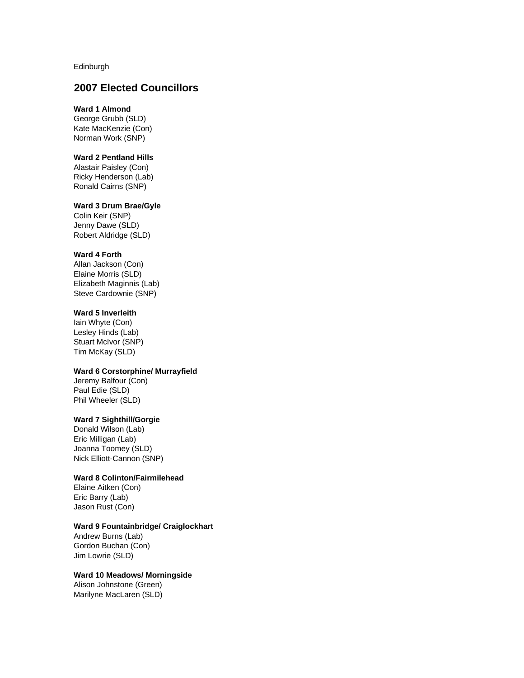Edinburgh

# **2007 Elected Councillors**

## **Ward 1 Almond**

George Grubb (SLD) Kate MacKenzie (Con) Norman Work (SNP)

### **Ward 2 Pentland Hills**

Alastair Paisley (Con) Ricky Henderson (Lab) Ronald Cairns (SNP)

#### **Ward 3 Drum Brae/Gyle**

Colin Keir (SNP) Jenny Dawe (SLD) Robert Aldridge (SLD)

#### **Ward 4 Forth**

Allan Jackson (Con) Elaine Morris (SLD) Elizabeth Maginnis (Lab) Steve Cardownie (SNP)

#### **Ward 5 Inverleith**

Iain Whyte (Con) Lesley Hinds (Lab) Stuart McIvor (SNP) Tim McKay (SLD)

#### **Ward 6 Corstorphine/ Murrayfield**

Jeremy Balfour (Con) Paul Edie (SLD) Phil Wheeler (SLD)

### **Ward 7 Sighthill/Gorgie**

Donald Wilson (Lab) Eric Milligan (Lab) Joanna Toomey (SLD) Nick Elliott-Cannon (SNP)

### **Ward 8 Colinton/Fairmilehead**

Elaine Aitken (Con) Eric Barry (Lab) Jason Rust (Con)

## **Ward 9 Fountainbridge/ Craiglockhart**

Andrew Burns (Lab) Gordon Buchan (Con) Jim Lowrie (SLD)

#### **Ward 10 Meadows/ Morningside**

Alison Johnstone (Green) Marilyne MacLaren (SLD)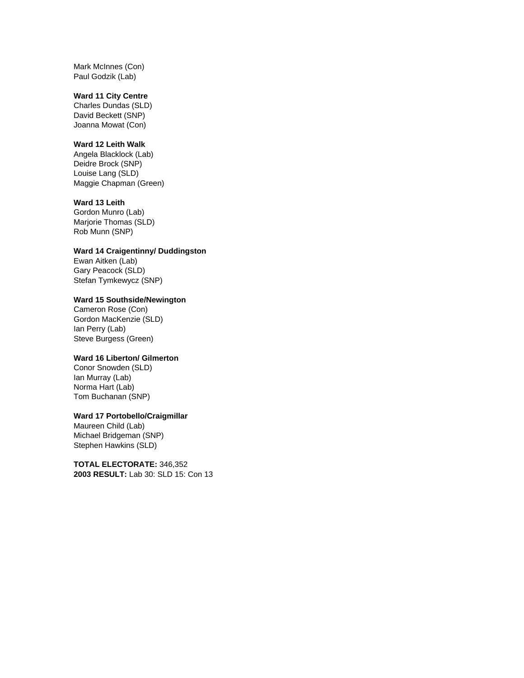Mark McInnes (Con) Paul Godzik (Lab)

#### **Ward 11 City Centre**

Charles Dundas (SLD) David Beckett (SNP) Joanna Mowat (Con)

#### **Ward 12 Leith Walk**

Angela Blacklock (Lab) Deidre Brock (SNP) Louise Lang (SLD) Maggie Chapman (Green)

## **Ward 13 Leith**

Gordon Munro (Lab) Marjorie Thomas (SLD) Rob Munn (SNP)

### **Ward 14 Craigentinny/ Duddingston**

Ewan Aitken (Lab) Gary Peacock (SLD) Stefan Tymkewycz (SNP)

## **Ward 15 Southside/Newington**

Cameron Rose (Con) Gordon MacKenzie (SLD) Ian Perry (Lab) Steve Burgess (Green)

# **Ward 16 Liberton/ Gilmerton**

Conor Snowden (SLD) Ian Murray (Lab) Norma Hart (Lab) Tom Buchanan (SNP)

#### **Ward 17 Portobello/Craigmillar**

Maureen Child (Lab) Michael Bridgeman (SNP) Stephen Hawkins (SLD)

**TOTAL ELECTORATE:** 346,352 **2003 RESULT:** Lab 30: SLD 15: Con 13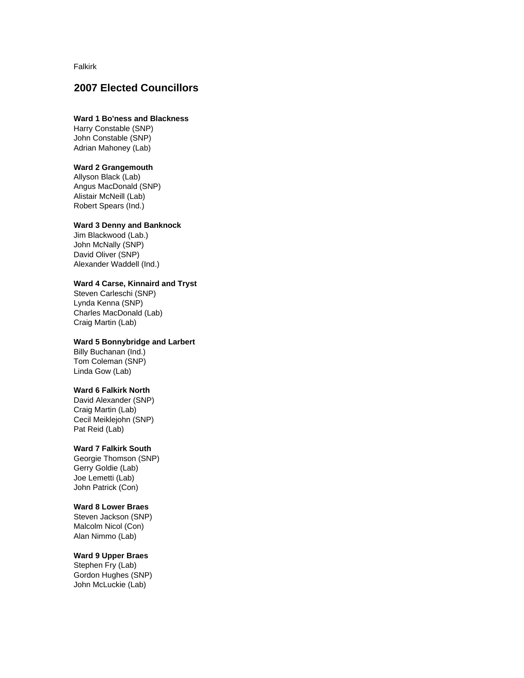Falkirk

# **2007 Elected Councillors**

## **Ward 1 Bo'ness and Blackness**

Harry Constable (SNP) John Constable (SNP) Adrian Mahoney (Lab)

### **Ward 2 Grangemouth**

Allyson Black (Lab) Angus MacDonald (SNP) Alistair McNeill (Lab) Robert Spears (Ind.)

#### **Ward 3 Denny and Banknock**

Jim Blackwood (Lab.) John McNally (SNP) David Oliver (SNP) Alexander Waddell (Ind.)

## **Ward 4 Carse, Kinnaird and Tryst**

Steven Carleschi (SNP) Lynda Kenna (SNP) Charles MacDonald (Lab) Craig Martin (Lab)

## **Ward 5 Bonnybridge and Larbert**

Billy Buchanan (Ind.) Tom Coleman (SNP) Linda Gow (Lab)

### **Ward 6 Falkirk North**

David Alexander (SNP) Craig Martin (Lab) Cecil Meiklejohn (SNP) Pat Reid (Lab)

#### **Ward 7 Falkirk South**

Georgie Thomson (SNP) Gerry Goldie (Lab) Joe Lemetti (Lab) John Patrick (Con)

### **Ward 8 Lower Braes**

Steven Jackson (SNP) Malcolm Nicol (Con) Alan Nimmo (Lab)

### **Ward 9 Upper Braes**

Stephen Fry (Lab) Gordon Hughes (SNP) John McLuckie (Lab)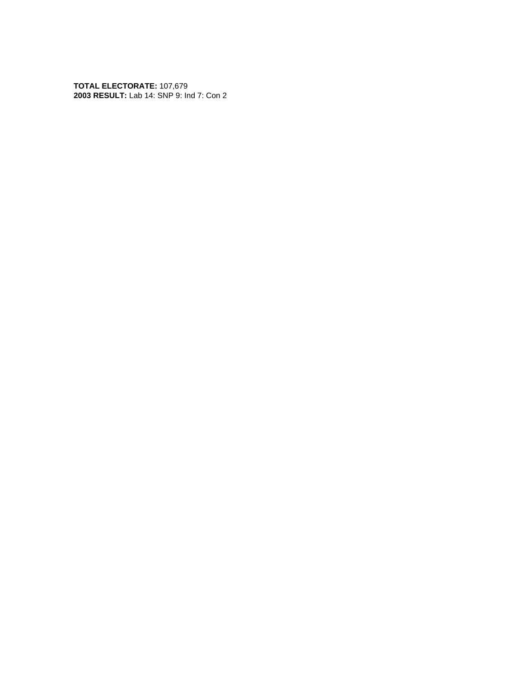**TOTAL ELECTORATE:** 107,679 **2003 RESULT:** Lab 14: SNP 9: Ind 7: Con 2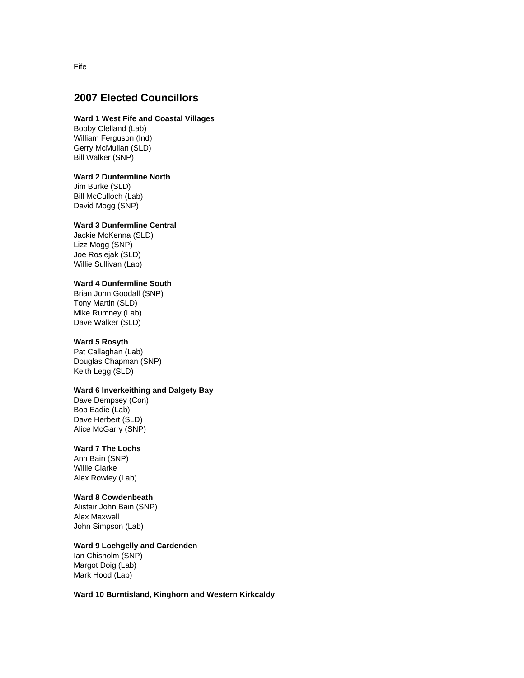# **2007 Elected Councillors**

#### **Ward 1 West Fife and Coastal Villages**

Bobby Clelland (Lab) William Ferguson (Ind) Gerry McMullan (SLD) Bill Walker (SNP)

#### **Ward 2 Dunfermline North**

Jim Burke (SLD) Bill McCulloch (Lab) David Mogg (SNP)

## **Ward 3 Dunfermline Central**

Jackie McKenna (SLD) Lizz Mogg (SNP) Joe Rosiejak (SLD) Willie Sullivan (Lab)

# **Ward 4 Dunfermline South**

Brian John Goodall (SNP) Tony Martin (SLD) Mike Rumney (Lab) Dave Walker (SLD)

#### **Ward 5 Rosyth**

Pat Callaghan (Lab) Douglas Chapman (SNP) Keith Legg (SLD)

## **Ward 6 Inverkeithing and Dalgety Bay**

Dave Dempsey (Con) Bob Eadie (Lab) Dave Herbert (SLD) Alice McGarry (SNP)

#### **Ward 7 The Lochs**

Ann Bain (SNP) Willie Clarke Alex Rowley (Lab)

#### **Ward 8 Cowdenbeath**

Alistair John Bain (SNP) Alex Maxwell John Simpson (Lab)

# **Ward 9 Lochgelly and Cardenden**

Ian Chisholm (SNP) Margot Doig (Lab) Mark Hood (Lab)

**Ward 10 Burntisland, Kinghorn and Western Kirkcaldy**

Fife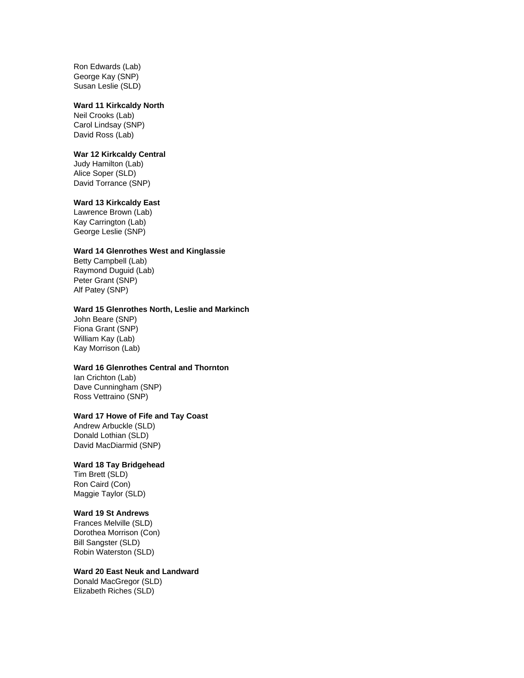Ron Edwards (Lab) George Kay (SNP) Susan Leslie (SLD)

#### **Ward 11 Kirkcaldy North**

Neil Crooks (Lab) Carol Lindsay (SNP) David Ross (Lab)

#### **War 12 Kirkcaldy Central**

Judy Hamilton (Lab) Alice Soper (SLD) David Torrance (SNP)

### **Ward 13 Kirkcaldy East**

Lawrence Brown (Lab) Kay Carrington (Lab) George Leslie (SNP)

### **Ward 14 Glenrothes West and Kinglassie**

Betty Campbell (Lab) Raymond Duguid (Lab) Peter Grant (SNP) Alf Patey (SNP)

#### **Ward 15 Glenrothes North, Leslie and Markinch**

John Beare (SNP) Fiona Grant (SNP) William Kay (Lab) Kay Morrison (Lab)

### **Ward 16 Glenrothes Central and Thornton**

Ian Crichton (Lab) Dave Cunningham (SNP) Ross Vettraino (SNP)

#### **Ward 17 Howe of Fife and Tay Coast**

Andrew Arbuckle (SLD) Donald Lothian (SLD) David MacDiarmid (SNP)

#### **Ward 18 Tay Bridgehead**

Tim Brett (SLD) Ron Caird (Con) Maggie Taylor (SLD)

#### **Ward 19 St Andrews**

Frances Melville (SLD) Dorothea Morrison (Con) Bill Sangster (SLD) Robin Waterston (SLD)

#### **Ward 20 East Neuk and Landward**

Donald MacGregor (SLD) Elizabeth Riches (SLD)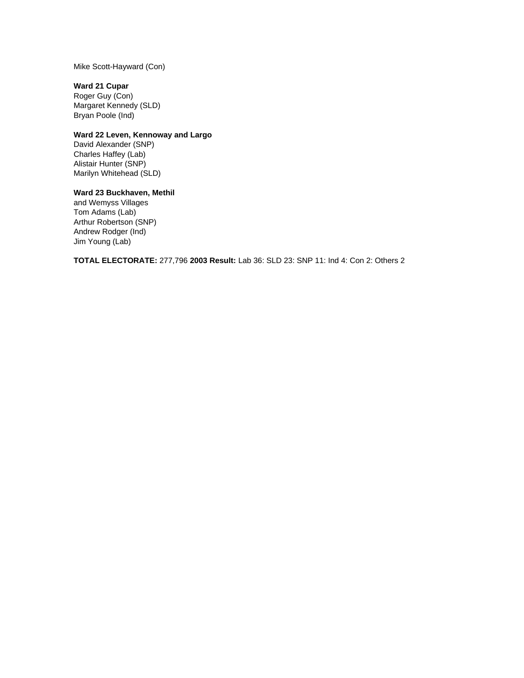Mike Scott-Hayward (Con)

# **Ward 21 Cupar**

Roger Guy (Con) Margaret Kennedy (SLD) Bryan Poole (Ind)

# **Ward 22 Leven, Kennoway and Largo**

David Alexander (SNP) Charles Haffey (Lab) Alistair Hunter (SNP) Marilyn Whitehead (SLD)

# **Ward 23 Buckhaven, Methil**

and Wemyss Villages Tom Adams (Lab) Arthur Robertson (SNP) Andrew Rodger (Ind) Jim Young (Lab)

**TOTAL ELECTORATE:** 277,796 **2003 Result:** Lab 36: SLD 23: SNP 11: Ind 4: Con 2: Others 2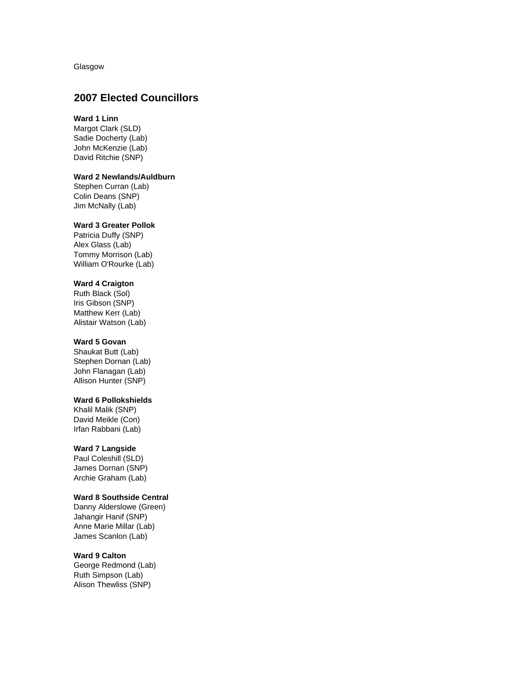Glasgow

# **2007 Elected Councillors**

## **Ward 1 Linn**

Margot Clark (SLD) Sadie Docherty (Lab) John McKenzie (Lab) David Ritchie (SNP)

### **Ward 2 Newlands/Auldburn**

Stephen Curran (Lab) Colin Deans (SNP) Jim McNally (Lab)

#### **Ward 3 Greater Pollok**

Patricia Duffy (SNP) Alex Glass (Lab) Tommy Morrison (Lab) William O'Rourke (Lab)

# **Ward 4 Craigton**

Ruth Black (Sol) Iris Gibson (SNP) Matthew Kerr (Lab) Alistair Watson (Lab)

#### **Ward 5 Govan**

Shaukat Butt (Lab) Stephen Dornan (Lab) John Flanagan (Lab) Allison Hunter (SNP)

### **Ward 6 Pollokshields**

Khalil Malik (SNP) David Meikle (Con) Irfan Rabbani (Lab)

### **Ward 7 Langside**

Paul Coleshill (SLD) James Dornan (SNP) Archie Graham (Lab)

#### **Ward 8 Southside Central**

Danny Alderslowe (Green) Jahangir Hanif (SNP) Anne Marie Millar (Lab) James Scanlon (Lab)

#### **Ward 9 Calton**

George Redmond (Lab) Ruth Simpson (Lab) Alison Thewliss (SNP)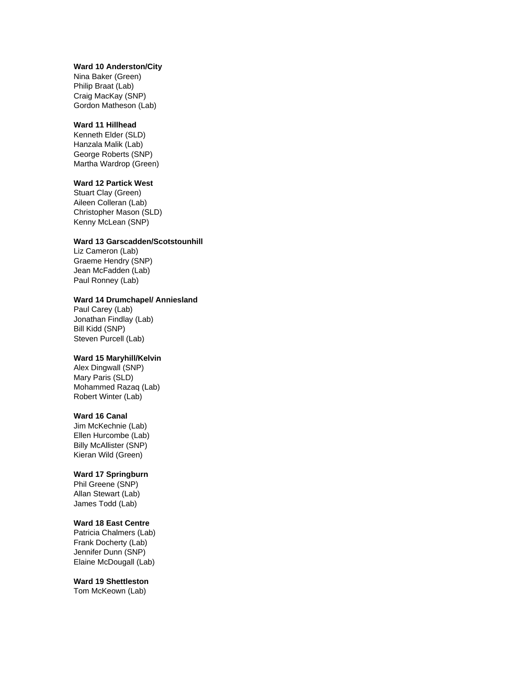#### **Ward 10 Anderston/City**

Nina Baker (Green) Philip Braat (Lab) Craig MacKay (SNP) Gordon Matheson (Lab)

### **Ward 11 Hillhead**

Kenneth Elder (SLD) Hanzala Malik (Lab) George Roberts (SNP) Martha Wardrop (Green)

### **Ward 12 Partick West**

Stuart Clay (Green) Aileen Colleran (Lab) Christopher Mason (SLD) Kenny McLean (SNP)

#### **Ward 13 Garscadden/Scotstounhill**

Liz Cameron (Lab) Graeme Hendry (SNP) Jean McFadden (Lab) Paul Ronney (Lab)

## **Ward 14 Drumchapel/ Anniesland**

Paul Carey (Lab) Jonathan Findlay (Lab) Bill Kidd (SNP) Steven Purcell (Lab)

## **Ward 15 Maryhill/Kelvin**

Alex Dingwall (SNP) Mary Paris (SLD) Mohammed Razaq (Lab) Robert Winter (Lab)

#### **Ward 16 Canal**

Jim McKechnie (Lab) Ellen Hurcombe (Lab) Billy McAllister (SNP) Kieran Wild (Green)

#### **Ward 17 Springburn**

Phil Greene (SNP) Allan Stewart (Lab) James Todd (Lab)

### **Ward 18 East Centre**

Patricia Chalmers (Lab) Frank Docherty (Lab) Jennifer Dunn (SNP) Elaine McDougall (Lab)

### **Ward 19 Shettleston**

Tom McKeown (Lab)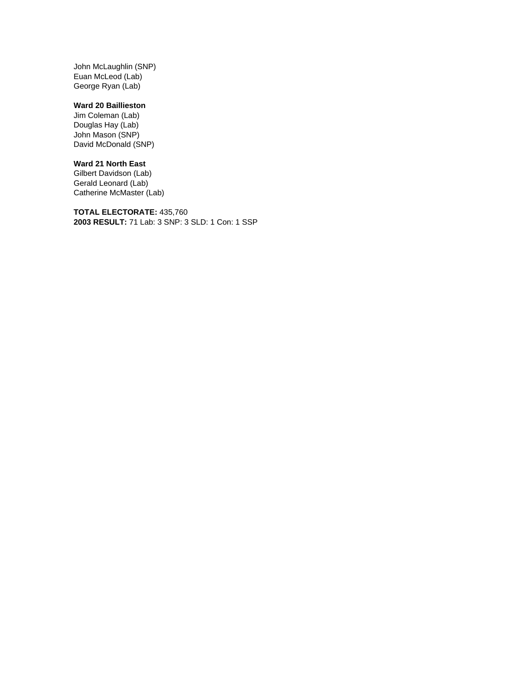John McLaughlin (SNP) Euan McLeod (Lab) George Ryan (Lab)

# **Ward 20 Baillieston**

Jim Coleman (Lab) Douglas Hay (Lab) John Mason (SNP) David McDonald (SNP)

## **Ward 21 North East**

Gilbert Davidson (Lab) Gerald Leonard (Lab) Catherine McMaster (Lab)

**TOTAL ELECTORATE:** 435,760 **2003 RESULT:** 71 Lab: 3 SNP: 3 SLD: 1 Con: 1 SSP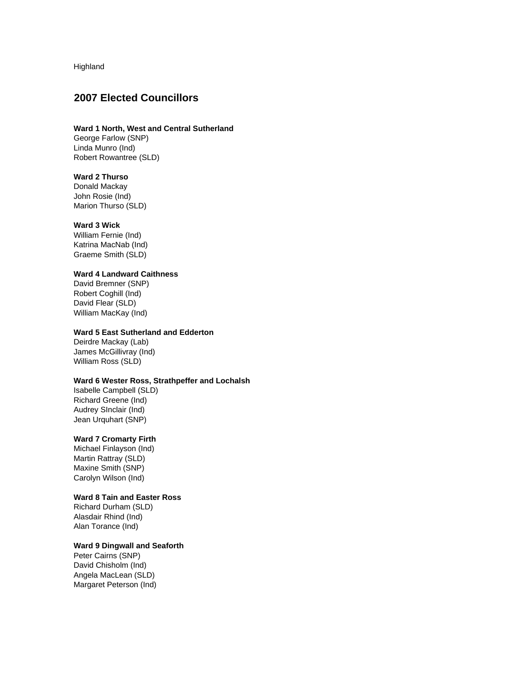Highland

# **2007 Elected Councillors**

# **Ward 1 North, West and Central Sutherland**

George Farlow (SNP) Linda Munro (Ind) Robert Rowantree (SLD)

#### **Ward 2 Thurso**

Donald Mackay John Rosie (Ind) Marion Thurso (SLD)

#### **Ward 3 Wick**

William Fernie (Ind) Katrina MacNab (Ind) Graeme Smith (SLD)

### **Ward 4 Landward Caithness**

David Bremner (SNP) Robert Coghill (Ind) David Flear (SLD) William MacKay (Ind)

#### **Ward 5 East Sutherland and Edderton**

Deirdre Mackay (Lab) James McGillivray (Ind) William Ross (SLD)

### **Ward 6 Wester Ross, Strathpeffer and Lochalsh**

Isabelle Campbell (SLD) Richard Greene (Ind) Audrey SInclair (Ind) Jean Urquhart (SNP)

### **Ward 7 Cromarty Firth**

Michael Finlayson (Ind) Martin Rattray (SLD) Maxine Smith (SNP) Carolyn Wilson (Ind)

### **Ward 8 Tain and Easter Ross**

Richard Durham (SLD) Alasdair Rhind (Ind) Alan Torance (Ind)

### **Ward 9 Dingwall and Seaforth**

Peter Cairns (SNP) David Chisholm (Ind) Angela MacLean (SLD) Margaret Peterson (Ind)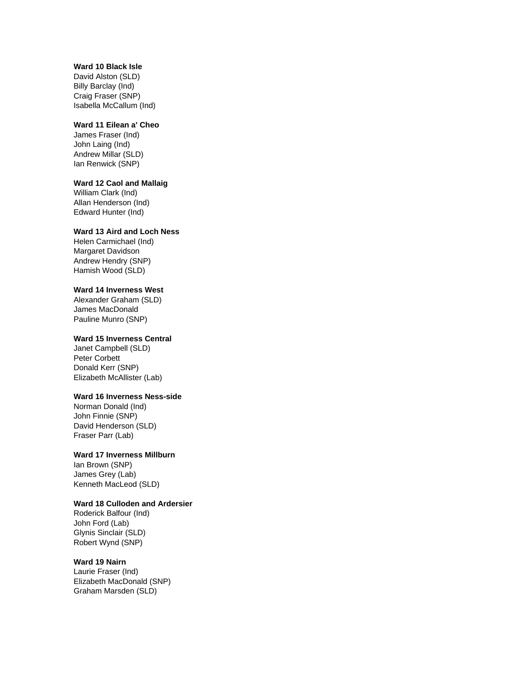## **Ward 10 Black Isle**

David Alston (SLD) Billy Barclay (Ind) Craig Fraser (SNP) Isabella McCallum (Ind)

### **Ward 11 Eilean a' Cheo**

James Fraser (Ind) John Laing (Ind) Andrew Millar (SLD) Ian Renwick (SNP)

#### **Ward 12 Caol and Mallaig**

William Clark (Ind) Allan Henderson (Ind) Edward Hunter (Ind)

### **Ward 13 Aird and Loch Ness**

Helen Carmichael (Ind) Margaret Davidson Andrew Hendry (SNP) Hamish Wood (SLD)

### **Ward 14 Inverness West**

Alexander Graham (SLD) James MacDonald Pauline Munro (SNP)

### **Ward 15 Inverness Central**

Janet Campbell (SLD) Peter Corbett Donald Kerr (SNP) Elizabeth McAllister (Lab)

# **Ward 16 Inverness Ness-side**

Norman Donald (Ind) John Finnie (SNP) David Henderson (SLD) Fraser Parr (Lab)

### **Ward 17 Inverness Millburn**

Ian Brown (SNP) James Grey (Lab) Kenneth MacLeod (SLD)

### **Ward 18 Culloden and Ardersier**

Roderick Balfour (Ind) John Ford (Lab) Glynis Sinclair (SLD) Robert Wynd (SNP)

## **Ward 19 Nairn**

Laurie Fraser (Ind) Elizabeth MacDonald (SNP) Graham Marsden (SLD)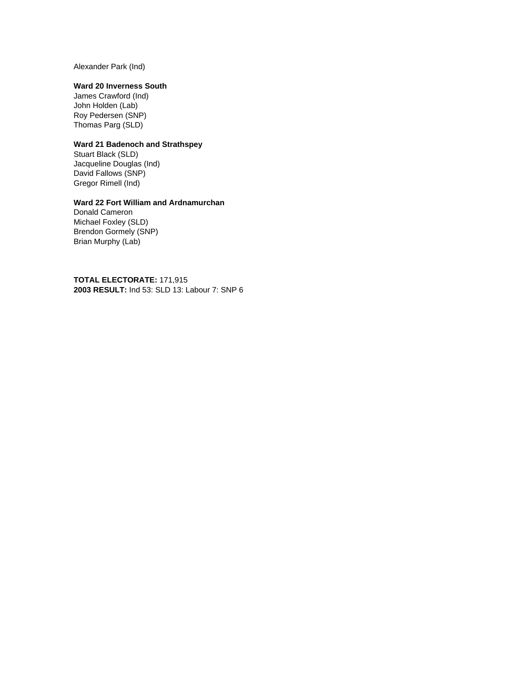Alexander Park (Ind)

# **Ward 20 Inverness South**

James Crawford (Ind) John Holden (Lab) Roy Pedersen (SNP) Thomas Parg (SLD)

## **Ward 21 Badenoch and Strathspey**

Stuart Black (SLD) Jacqueline Douglas (Ind) David Fallows (SNP) Gregor Rimell (Ind)

### **Ward 22 Fort William and Ardnamurchan**

Donald Cameron Michael Foxley (SLD) Brendon Gormely (SNP) Brian Murphy (Lab)

**TOTAL ELECTORATE:** 171,915 **2003 RESULT:** Ind 53: SLD 13: Labour 7: SNP 6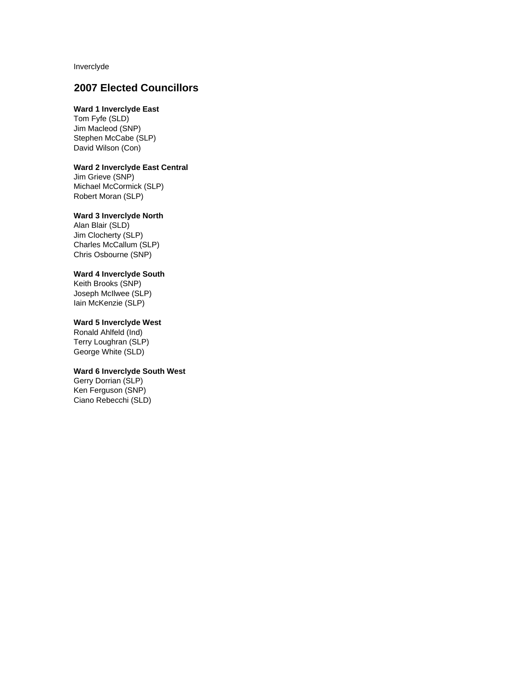Inverclyde

# **2007 Elected Councillors**

# **Ward 1 Inverclyde East**

Tom Fyfe (SLD) Jim Macleod (SNP) Stephen McCabe (SLP) David Wilson (Con)

### **Ward 2 Inverclyde East Central**

Jim Grieve (SNP) Michael McCormick (SLP) Robert Moran (SLP)

### **Ward 3 Inverclyde North**

Alan Blair (SLD) Jim Clocherty (SLP) Charles McCallum (SLP) Chris Osbourne (SNP)

# **Ward 4 Inverclyde South**

Keith Brooks (SNP) Joseph McIlwee (SLP) Iain McKenzie (SLP)

### **Ward 5 Inverclyde West**

Ronald Ahlfeld (Ind) Terry Loughran (SLP) George White (SLD)

#### **Ward 6 Inverclyde South West**

Gerry Dorrian (SLP) Ken Ferguson (SNP) Ciano Rebecchi (SLD)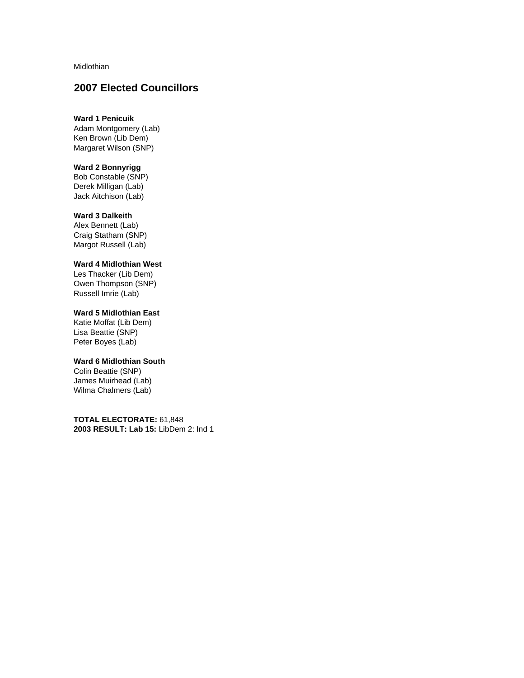Midlothian

# **2007 Elected Councillors**

## **Ward 1 Penicuik**

Adam Montgomery (Lab) Ken Brown (Lib Dem) Margaret Wilson (SNP)

## **Ward 2 Bonnyrigg**

Bob Constable (SNP) Derek Milligan (Lab) Jack Aitchison (Lab)

#### **Ward 3 Dalkeith**

Alex Bennett (Lab) Craig Statham (SNP) Margot Russell (Lab)

# **Ward 4 Midlothian West**

Les Thacker (Lib Dem) Owen Thompson (SNP) Russell Imrie (Lab)

# **Ward 5 Midlothian East**

Katie Moffat (Lib Dem) Lisa Beattie (SNP) Peter Boyes (Lab)

### **Ward 6 Midlothian South**

Colin Beattie (SNP) James Muirhead (Lab) Wilma Chalmers (Lab)

**TOTAL ELECTORATE:** 61,848 **2003 RESULT: Lab 15:** LibDem 2: Ind 1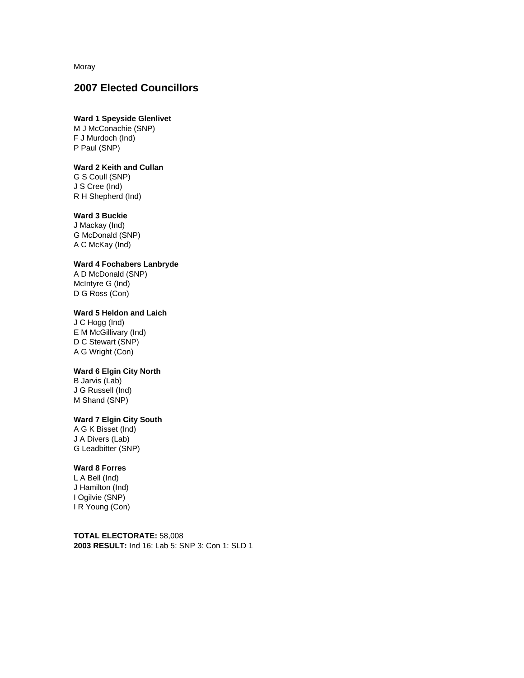Moray

# **2007 Elected Councillors**

## **Ward 1 Speyside Glenlivet**

M J McConachie (SNP) F J Murdoch (Ind) P Paul (SNP)

### **Ward 2 Keith and Cullan**

G S Coull (SNP) J S Cree (Ind) R H Shepherd (Ind)

### **Ward 3 Buckie**

J Mackay (Ind) G McDonald (SNP) A C McKay (Ind)

### **Ward 4 Fochabers Lanbryde**

A D McDonald (SNP) McIntyre G (Ind) D G Ross (Con)

# **Ward 5 Heldon and Laich**

J C Hogg (Ind) E M McGillivary (Ind) D C Stewart (SNP) A G Wright (Con)

## **Ward 6 Elgin City North**

B Jarvis (Lab) J G Russell (Ind) M Shand (SNP)

# **Ward 7 Elgin City South**

A G K Bisset (Ind) J A Divers (Lab) G Leadbitter (SNP)

### **Ward 8 Forres**

L A Bell (Ind) J Hamilton (Ind) I Ogilvie (SNP) I R Young (Con)

**TOTAL ELECTORATE:** 58,008 **2003 RESULT:** Ind 16: Lab 5: SNP 3: Con 1: SLD 1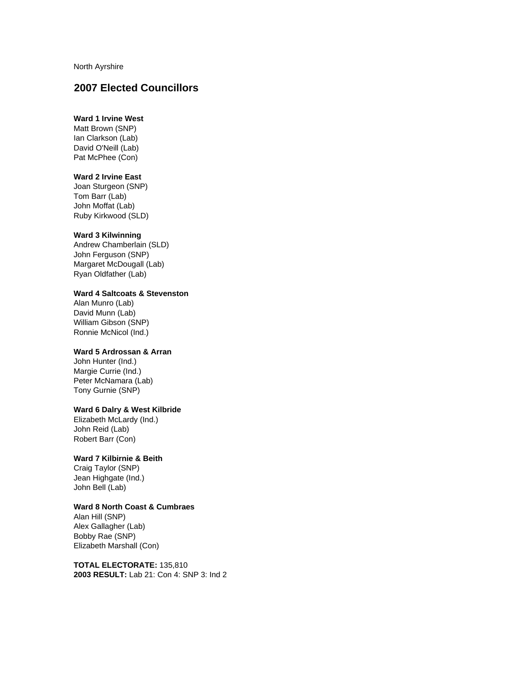North Ayrshire

# **2007 Elected Councillors**

# **Ward 1 Irvine West**

Matt Brown (SNP) Ian Clarkson (Lab) David O'Neill (Lab) Pat McPhee (Con)

#### **Ward 2 Irvine East**

Joan Sturgeon (SNP) Tom Barr (Lab) John Moffat (Lab) Ruby Kirkwood (SLD)

### **Ward 3 Kilwinning**

Andrew Chamberlain (SLD) John Ferguson (SNP) Margaret McDougall (Lab) Ryan Oldfather (Lab)

# **Ward 4 Saltcoats & Stevenston**

Alan Munro (Lab) David Munn (Lab) William Gibson (SNP) Ronnie McNicol (Ind.)

#### **Ward 5 Ardrossan & Arran**

John Hunter (Ind.) Margie Currie (Ind.) Peter McNamara (Lab) Tony Gurnie (SNP)

# **Ward 6 Dalry & West Kilbride**

Elizabeth McLardy (Ind.) John Reid (Lab) Robert Barr (Con)

### **Ward 7 Kilbirnie & Beith**

Craig Taylor (SNP) Jean Highgate (Ind.) John Bell (Lab)

### **Ward 8 North Coast & Cumbraes**

Alan Hill (SNP) Alex Gallagher (Lab) Bobby Rae (SNP) Elizabeth Marshall (Con)

**TOTAL ELECTORATE:** 135,810 **2003 RESULT:** Lab 21: Con 4: SNP 3: Ind 2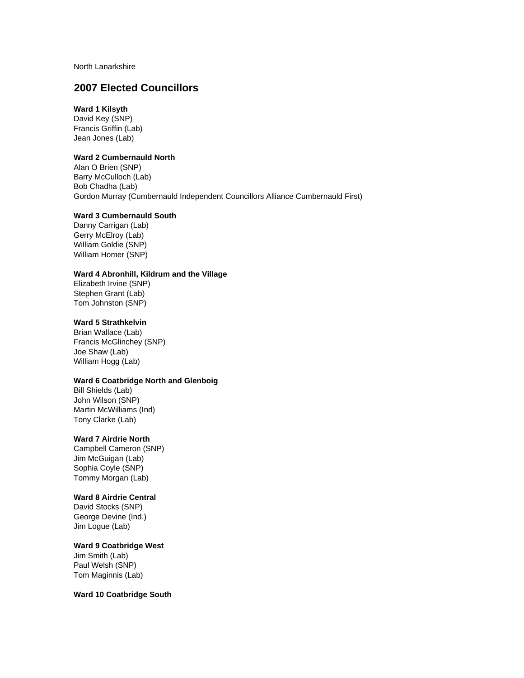North Lanarkshire

# **2007 Elected Councillors**

# **Ward 1 Kilsyth**

David Key (SNP) Francis Griffin (Lab) Jean Jones (Lab)

## **Ward 2 Cumbernauld North**

Alan O Brien (SNP) Barry McCulloch (Lab) Bob Chadha (Lab) Gordon Murray (Cumbernauld Independent Councillors Alliance Cumbernauld First)

## **Ward 3 Cumbernauld South**

Danny Carrigan (Lab) Gerry McElroy (Lab) William Goldie (SNP) William Homer (SNP)

### **Ward 4 Abronhill, Kildrum and the Village**

Elizabeth Irvine (SNP) Stephen Grant (Lab) Tom Johnston (SNP)

## **Ward 5 Strathkelvin**

Brian Wallace (Lab) Francis McGlinchey (SNP) Joe Shaw (Lab) William Hogg (Lab)

#### **Ward 6 Coatbridge North and Glenboig**

Bill Shields (Lab) John Wilson (SNP) Martin McWilliams (Ind) Tony Clarke (Lab)

#### **Ward 7 Airdrie North**

Campbell Cameron (SNP) Jim McGuigan (Lab) Sophia Coyle (SNP) Tommy Morgan (Lab)

#### **Ward 8 Airdrie Central**

David Stocks (SNP) George Devine (Ind.) Jim Logue (Lab)

### **Ward 9 Coatbridge West**

Jim Smith (Lab) Paul Welsh (SNP) Tom Maginnis (Lab)

**Ward 10 Coatbridge South**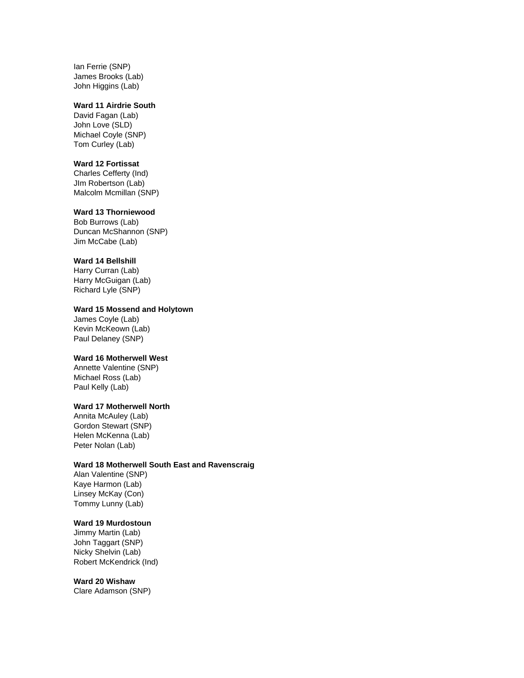Ian Ferrie (SNP) James Brooks (Lab) John Higgins (Lab)

#### **Ward 11 Airdrie South**

David Fagan (Lab) John Love (SLD) Michael Coyle (SNP) Tom Curley (Lab)

#### **Ward 12 Fortissat**

Charles Cefferty (Ind) JIm Robertson (Lab) Malcolm Mcmillan (SNP)

# **Ward 13 Thorniewood**

Bob Burrows (Lab) Duncan McShannon (SNP) Jim McCabe (Lab)

# **Ward 14 Bellshill**

Harry Curran (Lab) Harry McGuigan (Lab) Richard Lyle (SNP)

#### **Ward 15 Mossend and Holytown**

James Coyle (Lab) Kevin McKeown (Lab) Paul Delaney (SNP)

# **Ward 16 Motherwell West**

Annette Valentine (SNP) Michael Ross (Lab) Paul Kelly (Lab)

# **Ward 17 Motherwell North**

Annita McAuley (Lab) Gordon Stewart (SNP) Helen McKenna (Lab) Peter Nolan (Lab)

### **Ward 18 Motherwell South East and Ravenscraig**

Alan Valentine (SNP) Kaye Harmon (Lab) Linsey McKay (Con) Tommy Lunny (Lab)

### **Ward 19 Murdostoun**

Jimmy Martin (Lab) John Taggart (SNP) Nicky Shelvin (Lab) Robert McKendrick (Ind)

#### **Ward 20 Wishaw**

Clare Adamson (SNP)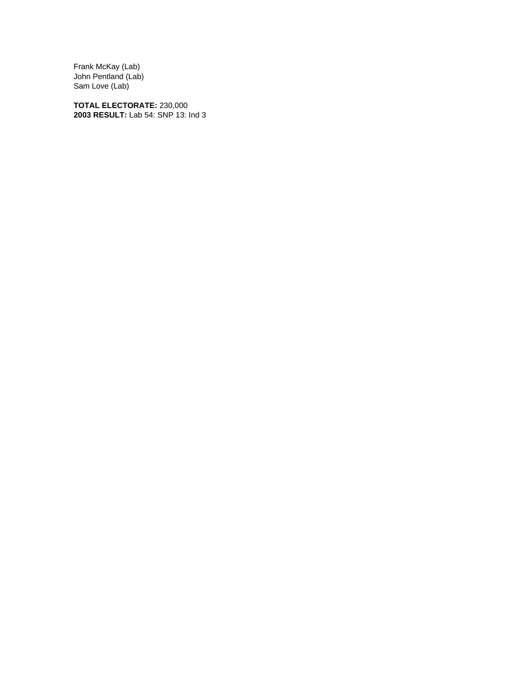Frank McKay (Lab) John Pentland (Lab) Sam Love (Lab)

**TOTAL ELECTORATE:** 230,000 **2003 RESULT:** Lab 54: SNP 13: Ind 3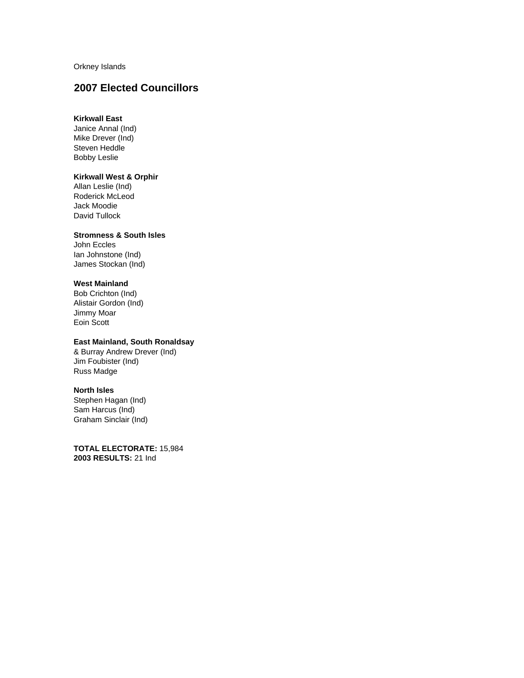Orkney Islands

# **2007 Elected Councillors**

## **Kirkwall East**

Janice Annal (Ind) Mike Drever (Ind) Steven Heddle Bobby Leslie

#### **Kirkwall West & Orphir**

Allan Leslie (Ind) Roderick McLeod Jack Moodie David Tullock

### **Stromness & South Isles**

John Eccles Ian Johnstone (Ind) James Stockan (Ind)

# **West Mainland**

Bob Crichton (Ind) Alistair Gordon (Ind) Jimmy Moar Eoin Scott

# **East Mainland, South Ronaldsay**

& Burray Andrew Drever (Ind) Jim Foubister (Ind) Russ Madge

#### **North Isles**

Stephen Hagan (Ind) Sam Harcus (Ind) Graham Sinclair (Ind)

**TOTAL ELECTORATE:** 15,984 **2003 RESULTS:** 21 Ind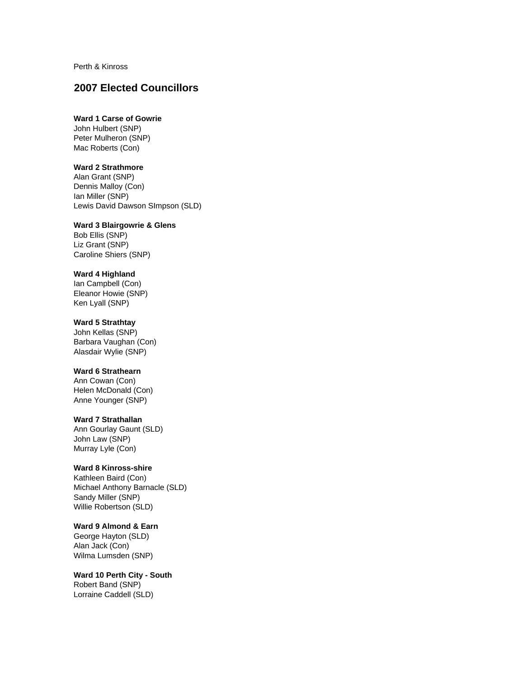Perth & Kinross

# **2007 Elected Councillors**

# **Ward 1 Carse of Gowrie**

John Hulbert (SNP) Peter Mulheron (SNP) Mac Roberts (Con)

### **Ward 2 Strathmore**

Alan Grant (SNP) Dennis Malloy (Con) Ian Miller (SNP) Lewis David Dawson SImpson (SLD)

## **Ward 3 Blairgowrie & Glens**

Bob Ellis (SNP) Liz Grant (SNP) Caroline Shiers (SNP)

#### **Ward 4 Highland**

Ian Campbell (Con) Eleanor Howie (SNP) Ken Lyall (SNP)

## **Ward 5 Strathtay**

John Kellas (SNP) Barbara Vaughan (Con) Alasdair Wylie (SNP)

#### **Ward 6 Strathearn**

Ann Cowan (Con) Helen McDonald (Con) Anne Younger (SNP)

# **Ward 7 Strathallan**

Ann Gourlay Gaunt (SLD) John Law (SNP) Murray Lyle (Con)

### **Ward 8 Kinross-shire**

Kathleen Baird (Con) Michael Anthony Barnacle (SLD) Sandy Miller (SNP) Willie Robertson (SLD)

#### **Ward 9 Almond & Earn**

George Hayton (SLD) Alan Jack (Con) Wilma Lumsden (SNP)

#### **Ward 10 Perth City - South** Robert Band (SNP)

Lorraine Caddell (SLD)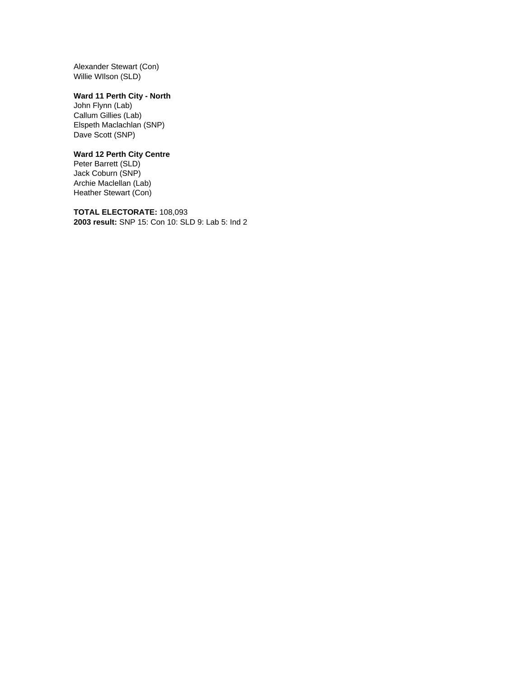Alexander Stewart (Con) Willie WIlson (SLD)

# **Ward 11 Perth City - North**

John Flynn (Lab) Callum Gillies (Lab) Elspeth Maclachlan (SNP) Dave Scott (SNP)

# **Ward 12 Perth City Centre**

Peter Barrett (SLD) Jack Coburn (SNP) Archie Maclellan (Lab) Heather Stewart (Con)

**TOTAL ELECTORATE:** 108,093 **2003 result:** SNP 15: Con 10: SLD 9: Lab 5: Ind 2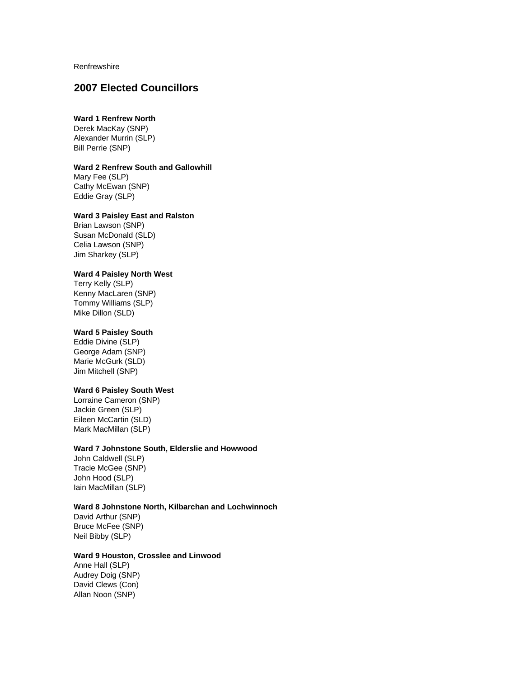**Renfrewshire** 

# **2007 Elected Councillors**

# **Ward 1 Renfrew North**

Derek MacKay (SNP) Alexander Murrin (SLP) Bill Perrie (SNP)

#### **Ward 2 Renfrew South and Gallowhill**

Mary Fee (SLP) Cathy McEwan (SNP) Eddie Gray (SLP)

### **Ward 3 Paisley East and Ralston**

Brian Lawson (SNP) Susan McDonald (SLD) Celia Lawson (SNP) Jim Sharkey (SLP)

### **Ward 4 Paisley North West**

Terry Kelly (SLP) Kenny MacLaren (SNP) Tommy Williams (SLP) Mike Dillon (SLD)

#### **Ward 5 Paisley South**

Eddie Divine (SLP) George Adam (SNP) Marie McGurk (SLD) Jim Mitchell (SNP)

#### **Ward 6 Paisley South West**

Lorraine Cameron (SNP) Jackie Green (SLP) Eileen McCartin (SLD) Mark MacMillan (SLP)

#### **Ward 7 Johnstone South, Elderslie and Howwood**

John Caldwell (SLP) Tracie McGee (SNP) John Hood (SLP) Iain MacMillan (SLP)

### **Ward 8 Johnstone North, Kilbarchan and Lochwinnoch**

David Arthur (SNP) Bruce McFee (SNP) Neil Bibby (SLP)

### **Ward 9 Houston, Crosslee and Linwood**

Anne Hall (SLP) Audrey Doig (SNP) David Clews (Con) Allan Noon (SNP)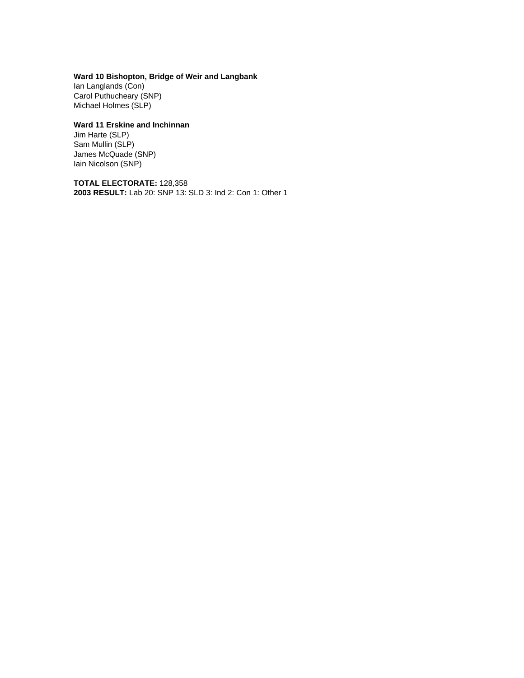# **Ward 10 Bishopton, Bridge of Weir and Langbank**

Ian Langlands (Con) Carol Puthucheary (SNP) Michael Holmes (SLP)

# **Ward 11 Erskine and Inchinnan**

Jim Harte (SLP) Sam Mullin (SLP) James McQuade (SNP) Iain Nicolson (SNP)

**TOTAL ELECTORATE:** 128,358 **2003 RESULT:** Lab 20: SNP 13: SLD 3: Ind 2: Con 1: Other 1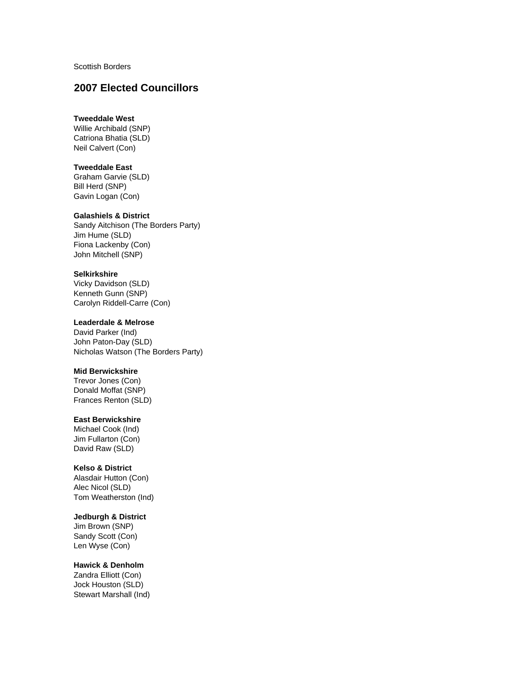Scottish Borders

# **2007 Elected Councillors**

### **Tweeddale West**

Willie Archibald (SNP) Catriona Bhatia (SLD) Neil Calvert (Con)

#### **Tweeddale East**

Graham Garvie (SLD) Bill Herd (SNP) Gavin Logan (Con)

#### **Galashiels & District**

Sandy Aitchison (The Borders Party) Jim Hume (SLD) Fiona Lackenby (Con) John Mitchell (SNP)

#### **Selkirkshire**

Vicky Davidson (SLD) Kenneth Gunn (SNP) Carolyn Riddell-Carre (Con)

#### **Leaderdale & Melrose**

David Parker (Ind) John Paton-Day (SLD) Nicholas Watson (The Borders Party)

### **Mid Berwickshire**

Trevor Jones (Con) Donald Moffat (SNP) Frances Renton (SLD)

### **East Berwickshire**

Michael Cook (Ind) Jim Fullarton (Con) David Raw (SLD)

#### **Kelso & District**

Alasdair Hutton (Con) Alec Nicol (SLD) Tom Weatherston (Ind)

### **Jedburgh & District**

Jim Brown (SNP) Sandy Scott (Con) Len Wyse (Con)

# **Hawick & Denholm**

Zandra Elliott (Con) Jock Houston (SLD) Stewart Marshall (Ind)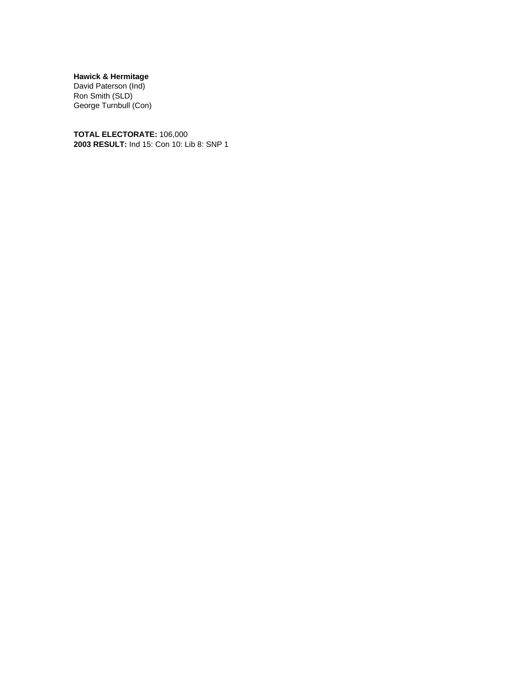**Hawick & Hermitage**

David Paterson (Ind) Ron Smith (SLD) George Turnbull (Con)

**TOTAL ELECTORATE:** 106,000 **2003 RESULT:** Ind 15: Con 10: Lib 8: SNP 1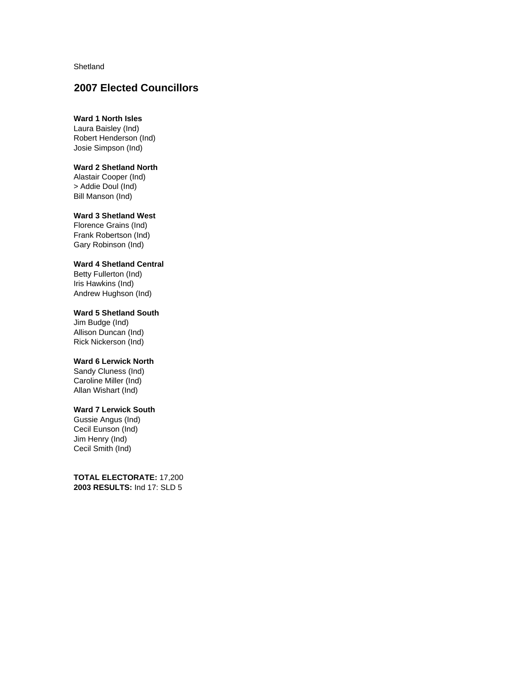Shetland

# **2007 Elected Councillors**

# **Ward 1 North Isles**

Laura Baisley (Ind) Robert Henderson (Ind) Josie Simpson (Ind)

### **Ward 2 Shetland North**

Alastair Cooper (Ind) > Addie Doul (Ind) Bill Manson (Ind)

#### **Ward 3 Shetland West**

Florence Grains (Ind) Frank Robertson (Ind) Gary Robinson (Ind)

### **Ward 4 Shetland Central**

Betty Fullerton (Ind) Iris Hawkins (Ind) Andrew Hughson (Ind)

## **Ward 5 Shetland South**

Jim Budge (Ind) Allison Duncan (Ind) Rick Nickerson (Ind)

### **Ward 6 Lerwick North**

Sandy Cluness (Ind) Caroline Miller (Ind) Allan Wishart (Ind)

# **Ward 7 Lerwick South**

Gussie Angus (Ind) Cecil Eunson (Ind) Jim Henry (Ind) Cecil Smith (Ind)

**TOTAL ELECTORATE:** 17,200 **2003 RESULTS:** Ind 17: SLD 5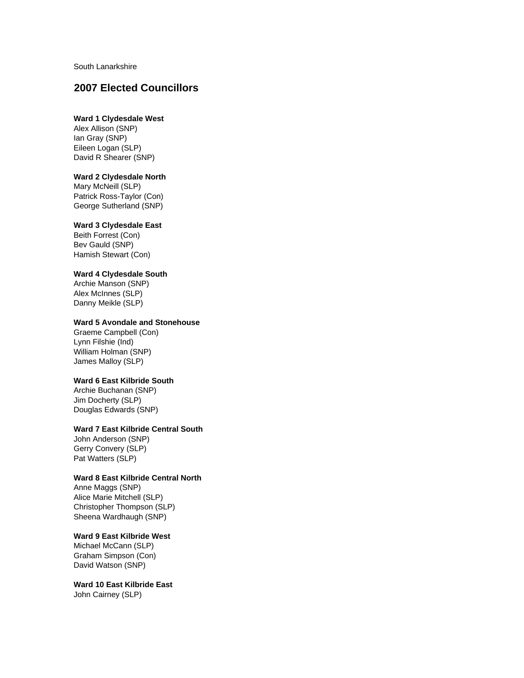South Lanarkshire

# **2007 Elected Councillors**

# **Ward 1 Clydesdale West**

Alex Allison (SNP) Ian Gray (SNP) Eileen Logan (SLP) David R Shearer (SNP)

### **Ward 2 Clydesdale North**

Mary McNeill (SLP) Patrick Ross-Taylor (Con) George Sutherland (SNP)

## **Ward 3 Clydesdale East**

Beith Forrest (Con) Bev Gauld (SNP) Hamish Stewart (Con)

#### **Ward 4 Clydesdale South**

Archie Manson (SNP) Alex McInnes (SLP) Danny Meikle (SLP)

#### **Ward 5 Avondale and Stonehouse**

Graeme Campbell (Con) Lynn Filshie (Ind) William Holman (SNP) James Malloy (SLP)

# **Ward 6 East Kilbride South**

Archie Buchanan (SNP) Jim Docherty (SLP) Douglas Edwards (SNP)

#### **Ward 7 East Kilbride Central South**

John Anderson (SNP) Gerry Convery (SLP) Pat Watters (SLP)

## **Ward 8 East Kilbride Central North**

Anne Maggs (SNP) Alice Marie Mitchell (SLP) Christopher Thompson (SLP) Sheena Wardhaugh (SNP)

#### **Ward 9 East Kilbride West**

Michael McCann (SLP) Graham Simpson (Con) David Watson (SNP)

**Ward 10 East Kilbride East** John Cairney (SLP)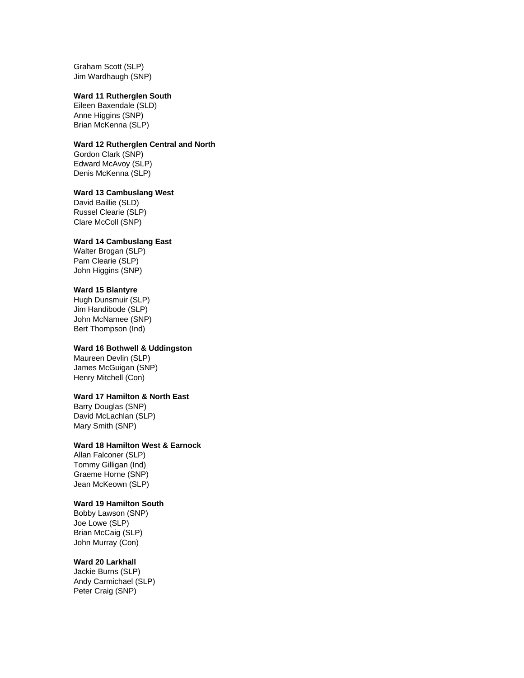Graham Scott (SLP) Jim Wardhaugh (SNP)

#### **Ward 11 Rutherglen South**

Eileen Baxendale (SLD) Anne Higgins (SNP) Brian McKenna (SLP)

#### **Ward 12 Rutherglen Central and North**

Gordon Clark (SNP) Edward McAvoy (SLP) Denis McKenna (SLP)

### **Ward 13 Cambuslang West**

David Baillie (SLD) Russel Clearie (SLP) Clare McColl (SNP)

## **Ward 14 Cambuslang East**

Walter Brogan (SLP) Pam Clearie (SLP) John Higgins (SNP)

#### **Ward 15 Blantyre**

Hugh Dunsmuir (SLP) Jim Handibode (SLP) John McNamee (SNP) Bert Thompson (Ind)

### **Ward 16 Bothwell & Uddingston**

Maureen Devlin (SLP) James McGuigan (SNP) Henry Mitchell (Con)

### **Ward 17 Hamilton & North East**

Barry Douglas (SNP) David McLachlan (SLP) Mary Smith (SNP)

### **Ward 18 Hamilton West & Earnock**

Allan Falconer (SLP) Tommy Gilligan (Ind) Graeme Horne (SNP) Jean McKeown (SLP)

#### **Ward 19 Hamilton South**

Bobby Lawson (SNP) Joe Lowe (SLP) Brian McCaig (SLP) John Murray (Con)

### **Ward 20 Larkhall**

Jackie Burns (SLP) Andy Carmichael (SLP) Peter Craig (SNP)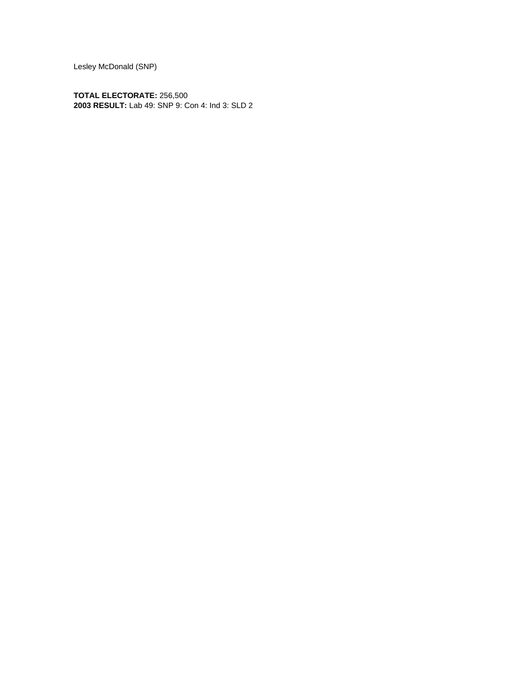Lesley McDonald (SNP)

**TOTAL ELECTORATE:** 256,500 **2003 RESULT:** Lab 49: SNP 9: Con 4: Ind 3: SLD 2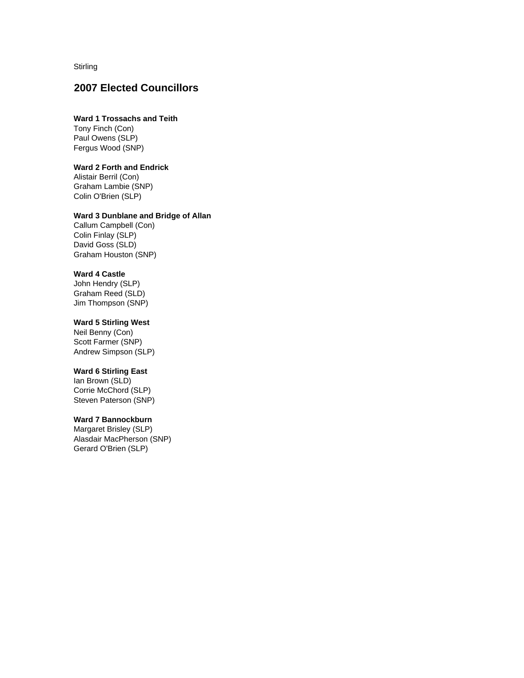**Stirling** 

# **2007 Elected Councillors**

## **Ward 1 Trossachs and Teith**

Tony Finch (Con) Paul Owens (SLP) Fergus Wood (SNP)

### **Ward 2 Forth and Endrick**

Alistair Berril (Con) Graham Lambie (SNP) Colin O'Brien (SLP)

### **Ward 3 Dunblane and Bridge of Allan**

Callum Campbell (Con) Colin Finlay (SLP) David Goss (SLD) Graham Houston (SNP)

#### **Ward 4 Castle**

John Hendry (SLP) Graham Reed (SLD) Jim Thompson (SNP)

#### **Ward 5 Stirling West**

Neil Benny (Con) Scott Farmer (SNP) Andrew Simpson (SLP)

### **Ward 6 Stirling East**

Ian Brown (SLD) Corrie McChord (SLP) Steven Paterson (SNP)

# **Ward 7 Bannockburn**

Margaret Brisley (SLP) Alasdair MacPherson (SNP) Gerard O'Brien (SLP)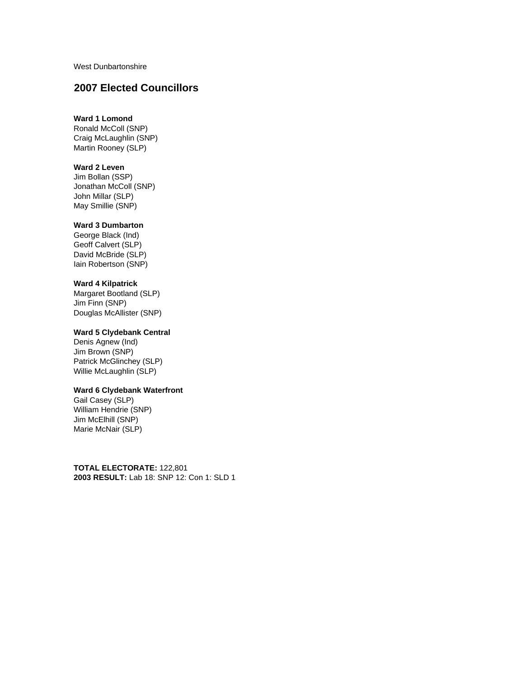West Dunbartonshire

# **2007 Elected Councillors**

## **Ward 1 Lomond**

Ronald McColl (SNP) Craig McLaughlin (SNP) Martin Rooney (SLP)

## **Ward 2 Leven**

Jim Bollan (SSP) Jonathan McColl (SNP) John Millar (SLP) May Smillie (SNP)

# **Ward 3 Dumbarton**

George Black (Ind) Geoff Calvert (SLP) David McBride (SLP) Iain Robertson (SNP)

## **Ward 4 Kilpatrick**

Margaret Bootland (SLP) Jim Finn (SNP) Douglas McAllister (SNP)

## **Ward 5 Clydebank Central**

Denis Agnew (Ind) Jim Brown (SNP) Patrick McGlinchey (SLP) Willie McLaughlin (SLP)

### **Ward 6 Clydebank Waterfront**

Gail Casey (SLP) William Hendrie (SNP) Jim McElhill (SNP) Marie McNair (SLP)

**TOTAL ELECTORATE:** 122,801 **2003 RESULT:** Lab 18: SNP 12: Con 1: SLD 1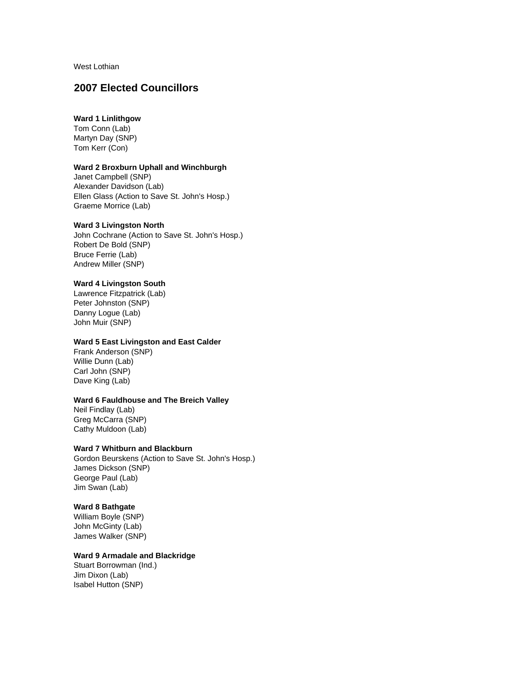West Lothian

# **2007 Elected Councillors**

# **Ward 1 Linlithgow**

Tom Conn (Lab) Martyn Day (SNP) Tom Kerr (Con)

### **Ward 2 Broxburn Uphall and Winchburgh**

Janet Campbell (SNP) Alexander Davidson (Lab) Ellen Glass (Action to Save St. John's Hosp.) Graeme Morrice (Lab)

### **Ward 3 Livingston North**

John Cochrane (Action to Save St. John's Hosp.) Robert De Bold (SNP) Bruce Ferrie (Lab) Andrew Miller (SNP)

### **Ward 4 Livingston South**

Lawrence Fitzpatrick (Lab) Peter Johnston (SNP) Danny Logue (Lab) John Muir (SNP)

### **Ward 5 East Livingston and East Calder**

Frank Anderson (SNP) Willie Dunn (Lab) Carl John (SNP) Dave King (Lab)

#### **Ward 6 Fauldhouse and The Breich Valley**

Neil Findlay (Lab) Greg McCarra (SNP) Cathy Muldoon (Lab)

### **Ward 7 Whitburn and Blackburn**

Gordon Beurskens (Action to Save St. John's Hosp.) James Dickson (SNP) George Paul (Lab) Jim Swan (Lab)

## **Ward 8 Bathgate**

William Boyle (SNP) John McGinty (Lab) James Walker (SNP)

### **Ward 9 Armadale and Blackridge**

Stuart Borrowman (Ind.) Jim Dixon (Lab) Isabel Hutton (SNP)